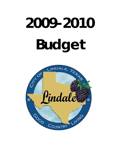# **2009-2010 Budget**

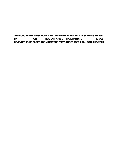**THIS BUDGET WILL RAISE MORE TOTAL PROPERTY TAXES THAN LAST YEAR'S BUDGET BY \_\_\_\_\_\_\_\_\_\_\_\_\_ OR \_\_\_\_\_\_ PERCENT, AND OF THAT AMOUNT, \_\_\_\_\_\_\_\_\_\_\_ IS TAX REVENUES TO BE RAISED FROM NEW PROPERTY ADDED TO THE TAX ROLL THIS YEAR.**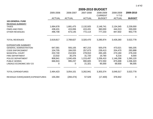|  | 1 of 42 |
|--|---------|
|  |         |

| 2009-2010 BUDGET |  |  |
|------------------|--|--|
|------------------|--|--|

|                                   | 2005-2006     | 2006-2007     | 2007-2008     | 2008-2009<br><b>CURRENT</b> | 2008-2009<br>$Y-T-D$ | 2009-2010     |
|-----------------------------------|---------------|---------------|---------------|-----------------------------|----------------------|---------------|
|                                   | <b>ACTUAL</b> | <b>ACTUAL</b> | <b>ACTUAL</b> | <b>BUDGET</b>               | <b>ACTUAL</b>        | <b>BUDGET</b> |
| <b>102-GENERAL FUND</b>           |               |               |               |                             |                      |               |
| REVENUE SUMMARY                   |               |               |               |                             |                      |               |
| <b>TAXES</b>                      | 1,684,678     | 1,681,475     | 2,132,925     | 2,148,741                   | 2,134,345            | 2,239,000     |
| <b>FINES AND FEES</b>             | 438,431       | 415,006       | 415,431       | 360,000                     | 444,313              | 330,000       |
| <b>OTHER REVENUES</b>             | 496,708       | 673,145       | 772,114       | 777,233                     | 847,602              | 953,778       |
| <b>TOTAL REVENUES</b>             | 2,619,817     | 2,769,627     | 3,320,470     | 3,285,974                   | 3,426,260            | 3,522,778     |
| <b>EXPENDITURE SUMMARY</b>        |               |               |               |                             |                      |               |
| <b>GENERAL ADMINISTRATION</b>     | 647,581       | 593,105       | 467,215       | 505,076                     | 473,521              | 560,205       |
| <b>CODE ENFORCEMENT</b>           | 104,705       | 184,033       | 257,673       | 239,413                     | 204,470              | 283,888       |
| <b>MUNICIPAL COURT</b>            | 222,740       | 210,924       | 278,910       | 265,165                     | 273,184              | 278,240       |
| FIRE DEPARTMENT                   | 13,532        | 30,376        | 31,720        | 19,760                      | 6,216                | 8,000         |
| POLICE DEPARTMENT                 | 808,941       | 1,040,426     | 1,215,497     | 1,206,410                   | 1,146,298            | 1,260,120     |
| PUBLIC WORKS                      | 666,924       | 995,237       | 990,605       | 972,550                     | 875,698              | 1,036,320     |
| LINDALE ECONOMIC DEV CO           | 0             | 0             | 21,321        | 95,000                      | 69,930               | 96,005        |
| <b>TOTAL EXPENDITURES</b>         | 2,464,423     | 3,054,101     | 3,262,941     | 3,303,374                   | 3,049,317            | 3,522,778     |
| REVENUE OVER/(UNDER) EXPENDITURES | 155,394       | (284, 474)    | 57,529        | (17, 400)                   | 376,942              | 0             |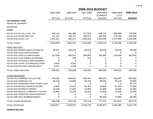|                                                     | 2005-2006      | 2006-2007     | 2007-2008      | 2008-2009<br><b>CURRENT</b> | 2008-2009<br>$Y-T-D$ | 2009-2010     |
|-----------------------------------------------------|----------------|---------------|----------------|-----------------------------|----------------------|---------------|
| <b>102-GENERAL FUND</b><br><b>FINANCIAL SUMMARY</b> | <b>ACTUAL</b>  | <b>ACTUAL</b> | <b>ACTUAL</b>  | <b>BUDGET</b>               | <b>ACTUAL</b>        | <b>BUDGET</b> |
| <b>REVENUES</b><br><b>TAXES</b>                     |                |               |                |                             |                      |               |
| 102-00-4110 AD VAL & DEL TAX                        | 448,144        | 441,356       | 577,534        | 638,741                     | 639,600              | 729,000       |
| 102-00-4120 FRANCHISE TAX                           | 211,167        | 256,747       | 269,371        | 260,000                     | 276,786              | 260,000       |
| 102-00-4130 SALES TAX                               | 1,025,367      | 983,373       | 1,286,020      | 1,250,000                   | 1,217,958            | 1,250,000     |
| <b>TOTAL TAXES</b>                                  | 1,684,678      | 1,681,475     | 2,132,925      | 2,148,741                   | 2,134,345            | 2,239,000     |
| <b>FINES AND FEES</b>                               |                |               |                |                             |                      |               |
| 102-00-4205 PERMITS (BLDG-PLMBG-EL                  | 96,167         | 105,431       | 50,634         | 60,000                      | 28,478               | 30,000        |
| 102-00-4206 CODE ENFORCEMENT                        | 0              | 0             | 0              | 0                           | 0                    | $\mathbf{0}$  |
| 102-00-4210 FINES & FORFEITURES                     | 327,546        | 300,511       | 364,655        | 300,000                     | 415,836              | 300,000       |
| 102-00-4215 CASH BONDS (SUSPENSE)                   | 0              | 224           | 142            | 0                           | 0                    | 0             |
| 102-00-4220 STORAGE & IMPOUNDMENT                   | $\overline{0}$ | 0             | 0              | 0                           | 0                    | 0             |
| 102-00-4230 COURT TECHNOLOGY FUND                   | 8,645          | 4,501         | 0              | 0                           | 0                    | 0             |
| 102-00-4235 BUILDING AND SECURITY                   | 6,073          | 4,339         | $\overline{0}$ | $\Omega$                    | $\Omega$             | $\Omega$      |
| <b>TOTAL FINES AND FEES</b>                         | 438,431        | 415,006       | 415,431        | 360,000                     | 444,313              | 330,000       |
| <b>OTHER REVENUES</b>                               |                |               |                |                             |                      |               |
| 102-00-4310 GARBAGE COLLECTION                      | 404,552        | 556,602       | 629,441        | 598,633                     | 630,447              | 684,000       |
| 102-00-4410 GARBAGE TAX                             | 36,516         | 44,682        | 46,234         | 48,000                      | 50,118               | 59,000        |
| 102-00-4420 TRANSFER FROM OTHER FUND                | $\overline{0}$ | 0             | $\Omega$       | 0                           | 0                    | 82,773        |
| 102-00-4430 MISCELLANEOUS INCOME                    | 9,394          | 10,927        | 65,321         | 10,600                      | 67,333               | 10,000        |
| 102-00-4435 INTEREST EARNED                         | 33,285         | 47,601        | 12,808         | 10,000                      | 12,636               | 10,000        |
| 102-00-4445 RENTAL COMMUNITY CENTER                 | 12,960         | 13,334        | 18,310         | 15,000                      | 14,200               | 12,000        |
| 102-00-4465 TRANSFER FROM RESERVES                  | 0              | 0             | 0              | $\Omega$                    | $\Omega$             | $\Omega$      |
| 102-00-4486 LEDC REIMBURSEMENT                      | 0              | $\Omega$      | 0              | 95,000                      | 72,868               | 96,005        |
| TOTAL OTHER REVENUES                                | 496,708        | 673,145       | 772,114        | 777,233                     | 847,602              | 953,778       |
| <b>TOTAL REVENUES</b>                               | 2,619,817      | 2,769,627     | 3,320,470      | 3,285,974                   | 3,426,260            | 3,522,778     |

**ADMINISTRATION**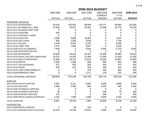|                                      | 2005-2006     | 2006-2007     | 2007-2008     | 2008-2009                       | 2008-2009                | 2009-2010     |
|--------------------------------------|---------------|---------------|---------------|---------------------------------|--------------------------|---------------|
|                                      | <b>ACTUAL</b> | <b>ACTUAL</b> | <b>ACTUAL</b> | <b>CURRENT</b><br><b>BUDGET</b> | $Y-T-D$<br><b>ACTUAL</b> | <b>BUDGET</b> |
|                                      |               |               |               |                                 |                          |               |
| PERSONNEL SERVICES                   |               |               |               |                                 |                          |               |
| 102-01-5110 SUPERVISION              | 92,024        | 153,632       | 96,694        | 119,171                         | 98,980                   | 120,800       |
| 102-01-5111 SALARIES FULL-TIME       | 27,940        | 40,017        | 25,487        | 31,089                          | 25,773                   | 32,100        |
| 102-01-5112 SALARIES PART-TIME       | 0             | 0             | 0             | 0                               | 0                        | 0             |
| 102-01-5113 OVERTIME                 | 294           | 0             | $\Omega$      | 0                               | 0                        | 0             |
| 102-01-5114 CONTRACT LABOR           | 0             | $\Omega$      | 0             | 0                               | $\Omega$                 | $\Omega$      |
| 102-01-5115 VACATION                 | 2,296         | 9,826         | 10,203        | 0                               | 7,810                    | 0             |
| 102-01-5116 SICK LEAVE               | 835           | 1,055         | 2,624         | 0                               | 1,756                    | $\mathbf 0$   |
| 102-01-5117 HOLIDAY                  | 2,148         | 5,642         | 6,731         | 0                               | 6,355                    | $\Omega$      |
| 102-01-5118 COMP TIME                | 1,270         | 7,806         | 3,847         | $\Omega$                        | 3,140                    | $\Omega$      |
| 102-01-5130 AUTO ALLOWANCE           | 7,400         | 0             | 4,616         | 6,000                           | 5,723                    | 6,000         |
| 102-01-5155 CERTIFICATION PAY        | 0             | 0             | $\mathbf 0$   | $\mathbf 0$                     | 0                        | $\mathbf 0$   |
| 102-01-5160 RETIREMENT               | 10,633        | 16,241        | 15,107        | 21,880                          | 18,983                   | 23,610        |
| 102-01-5170 SOCIAL SECURITY/MEDICARE | 10,274        | 16,676        | 11,490        | 11,955                          | 11,440                   | 12,300        |
| 102-01-5175 HEALTH INSURANCE         | 11,685        | 18,751        | 12,670        | 13,020                          | 12,967                   | 13,400        |
| 102-01-5176 DENTAL                   | 1,048         | 1,286         | 806           | 855                             | 843                      | 895           |
| 102-01-5177 LIFE INSURANCE           | 672           | 992           | 558           | 660                             | 572                      | 620           |
| 102-01-5178 VISION                   | 300           | 423           | 324           | 330                             | 324                      | 360           |
| 102-01-5179 LONG TERM DISABILITY     | $\mathbf 0$   | 0             | 373           | 540                             | 382                      | 420           |
| 102-01-5180 WORKERS COMP             | 0             | 0             | 1,171         | 276                             | 331                      | 500           |
| TOTAL PERSONNEL SERVICES             | 168,818       | 272,346       | 192,700       | 205,776                         | 195,378                  | 211,005       |
| <b>SUPPLIES</b>                      |               |               |               |                                 |                          |               |
| 102-01-5210 OFFICE SUPPLIES          | 5,361         | 6,111         | 4,962         | 6,000                           | 4,896                    | 6,000         |
| 102-01-5215 POSTAGE                  | 1,068         | 1,360         | 860           | 1,500                           | 902                      | 1,500         |
| 102-01-5235 TECHNICAL SUPPLIES       | 0             | 0             | 0             | 0                               | 0                        | $\Omega$      |
| 102-01-5250 CLEANING SUPPLIES        | 28            | $\Omega$      | $\Omega$      | 100                             | 76                       | 100           |
| 102-01-5255 BUILDING SUPPLIES        | 172           | $\Omega$      | $\Omega$      | 200                             | 0                        | 200           |
| 102-01-5290 MISCELLANEOUS SUPPLIES   | 2,192         | 7,948         | 1,568         | 3,000                           | 2,234                    | 4,500         |
| <b>TOTAL SUPPLIES</b>                | 8,821         | 15,419        | 7,390         | 10,800                          | 8,108                    | 12,300        |
| CONTRACTUAL                          |               |               |               |                                 |                          |               |
| 102-01-5305 MISCELLANEOUS            | 0             | 29            | 104           | 0                               | 0                        | 0             |
| 102-01-5310 COMMUNICATIONS-TELEPHONE | 12,515        | 12,190        | 13,012        | 5,000                           | 3,018                    | 16,000        |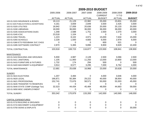$\overline{\phantom{a}}$  ,  $\overline{\phantom{a}}$  ,  $\overline{\phantom{a}}$  ,  $\overline{\phantom{a}}$  ,  $\overline{\phantom{a}}$  ,  $\overline{\phantom{a}}$  ,  $\overline{\phantom{a}}$  ,  $\overline{\phantom{a}}$  ,  $\overline{\phantom{a}}$  ,  $\overline{\phantom{a}}$  ,  $\overline{\phantom{a}}$  ,  $\overline{\phantom{a}}$  ,  $\overline{\phantom{a}}$  ,  $\overline{\phantom{a}}$  ,  $\overline{\phantom{a}}$  ,  $\overline{\phantom{a}}$ 

|                                        | 2005-2006      | 2006-2007      | 2007-2008      | 2008-2009      | 2008-2009     | 2009-2010     |
|----------------------------------------|----------------|----------------|----------------|----------------|---------------|---------------|
|                                        |                |                |                | <b>CURRENT</b> | $Y-T-D$       |               |
|                                        | <b>ACTUAL</b>  | <b>ACTUAL</b>  | <b>ACTUAL</b>  | <b>BUDGET</b>  | <b>ACTUAL</b> | <b>BUDGET</b> |
| 102-01-5315 INSURANCE & BONDS          | 19,113         | 21,129         | 22,982         | 25,000         | 23,831        | 25,000        |
| 102-01-5320 PUBLICATIONS & ADVERTISING | 4,161          | 3,659          | 2,849          | 3,500          | 2,425         | 3,500         |
| 102-01-5325 UTILITIES                  | 18,942         | 17,059         | 20,636         | 20,000         | 20,133        | 20,000        |
| 102-01-5330 LIBRARIAN                  | 18,000         | 36,000         | 36,000         | 36,000         | 36,000        | 40,000        |
| 102-01-5335 ASSOCIATIONS DUES          | 1,348          | 2,588          | 1,751          | 2,500          | 2,370         | 3,000         |
| 102-01-5345 ICSC                       | 23,518         | 1,104          | 0              | 0              | 0             | $\Omega$      |
| 102-01-5350 TRAVEL                     | 1,223          | 8,102          | 4,971          | 15,000         | 7,634         | 15,000        |
| 102-01-5355 SCHOOLS                    | 2,228          | 1,500          | 4,683          | 6,000          | 2,979         | 6,000         |
| 102-01-5360 ETS FEES/BANK SVC CHGS     | 0              | 0              | $\Omega$       | 600            | 521           | $\Omega$      |
| 102-01-5395 SOFTWARE CONTRACT          | 2,870          | 5,365          | 9,890          | 9,900          | 9,929         | 10,400        |
| TOTAL CONTRACTUAL                      | 103,918        | 108,723        | 116,877        | 123,500        | 108,841       | 138,900       |
| <b>MAINTENANCE</b>                     |                |                |                |                |               |               |
| 102-01-5410 BUILDING AND GROUNDS       | 5,930          | 4,987          | 2,128          | 2,500          | 3,066         | 2,500         |
| 102-01-5411 JANITORIAL                 | 1,105          | 11,900         | 11,250         | 13,000         | 10,800        | 13,000        |
| 102-01-5415 FURNITURE & FIXTURES       | 1,732          | 174            | 294            | 500            | 0             | 500           |
| 102-01-5420 MACHINERY & EQUIPMENT      | 3,914          | 8,577          | 3,295          | 7,000          | 6,762         | 4,000         |
| <b>TOTAL MAINTENANCE</b>               | 12,681         | 25,638         | 16,966         | 23,000         | 20,628        | 20,000        |
| <b>SUNDRY</b>                          |                |                |                |                |               |               |
| 102-01-5615 ELECTIONS                  | 1,207          | 3,484          | $\mathbf 0$    | 4,000          | 3,646         | 4,000         |
| 102-01-5620 LEGAL                      | 166,871        | 50,384         | 29,222         | 40,000         | 38,954        | 40,000        |
| 102-01-5621 PROFESSIONAL               | 152,741        | 72,676         | 58,571         | 50,000         | 53,303        | 45,000        |
| 102-01-5635 TRANSFER TO RESERVES       | $\overline{0}$ | $\mathbf 0$    | $\overline{0}$ | $\mathbf 0$    | 0             | $\mathbf{0}$  |
| 102-01-5640 STATE COMP (Garbage Tax)   | 32,523         | 44,434         | 45,484         | 48,000         | 44,663        | 59,000        |
| 102-01-5650 MISC UNEMPLOYMENT          | 0              | 0              | 5              | 0              | 0             | $\Omega$      |
| <b>TOTAL SUNDRY</b>                    | 353,342        | 170,979        | 133,283        | 142,000        | 140,565       | 148,000       |
| <b>CAPITAL EXPENDITURES</b>            |                |                |                |                |               |               |
| 102-01-5710 BUILDING & GROUNDS         | 0              | 0              | $\mathbf 0$    | 0              | 0             | 0             |
| 102-01-5715 MACHINERY & EQUIPMENT      | 0              | $\pmb{0}$      | 0              | 0              | 0             | $\Omega$      |
| 102-01-5750 SIGNS & DISPLAYS           | $\Omega$       | $\overline{0}$ | 0              | $\overline{0}$ | 0             | 30,000        |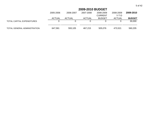|                              | 2005-2006     | 2006-2007     | 2007-2008 | 2008-2009<br><b>CURRENT</b> | 2008-2009<br>Y-T-D | 2009-2010     |
|------------------------------|---------------|---------------|-----------|-----------------------------|--------------------|---------------|
|                              | <b>ACTUAL</b> | <b>ACTUAL</b> | ACTUAL    | <b>BUDGET</b>               | ACTUAL             | <b>BUDGET</b> |
| TOTAL CAPITAL EXPENDITURES   |               |               |           |                             |                    | 30,000        |
| TOTAL GENERAL ADMINISTRATION | 647,581       | 593,105       | 467,215   | 505,076                     | 473,521            | 560,205       |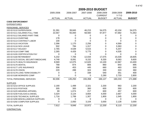|                                      | 2005-2006     | 2006-2007     | 2007-2008     | 2008-2009<br><b>CURRENT</b> | 2008-2009<br>$Y-T-D$ | 2009-2010      |
|--------------------------------------|---------------|---------------|---------------|-----------------------------|----------------------|----------------|
|                                      | <b>ACTUAL</b> | <b>ACTUAL</b> | <b>ACTUAL</b> | <b>BUDGET</b>               | <b>ACTUAL</b>        | <b>BUDGET</b>  |
| <b>CODE ENFORCEMENT</b>              |               |               |               |                             |                      |                |
| <b>EXPENDITURES</b>                  |               |               |               |                             |                      |                |
| PERSONNEL SERVICES                   |               |               |               |                             |                      |                |
| 102-02-5110 SUPERVISION              | 31,391        | 39,845        | 46,215        | 54,075                      | 43,104               | 54,075         |
| 102-02-5111 SALARIES FULL-TIME       | 22,567        | 55,000        | 58,560        | 67,877                      | 57,682               | 71,053         |
| 102-02-5112 SALARIES PART-TIME       | $\mathbf 0$   | 0             | 0             | 0                           | 0                    | 0              |
| 102-02-5113 OVERTIME                 | 178           | 0             | 0             | 0                           | 0                    | 0              |
| 102-02-5114 CONTRACT LABOR           | 100           | 0             | 0             | 0                           | $\Omega$             | 0              |
| 102-02-5115 VACATION                 | 2,396         | 1,170         | 2,256         | 0                           | 4,569                | $\mathbf 0$    |
| 102-02-5116 SICK LEAVE               | 502           | 784           | 1,317         | 0                           | 3,363                | $\mathbf 0$    |
| 102-02-5117 HOLIDAY                  | 2,765         | 4,539         | 5,515         | 0                           | 5,207                | $\overline{0}$ |
| 102-02-5118 COMP TIME                | 2,265         | 4,426         | 5,775         | 0                           | 4,535                | 0              |
| 102-02-5155 CERTIFICATION PAY        | 0             | 0             | 0             | 0                           | 0                    | $\Omega$       |
| 102-02-5160 RETIREMENT               | 5,232         | 7,706         | 12,034        | 17,075                      | 15,028               | 18,605         |
| 102-02-5170 SOCIAL SECURITY/MEDICARE | 4,748         | 8,091         | 9,152         | 9,330                       | 9,063                | 9,600          |
| 102-02-5175 HEALTH INSURANCE         | 8,569         | 12,075        | 12,620        | 13,100                      | 12,967               | 13,400         |
| 102-02-5176 DENTAL                   | 768           | 874           | 806           | 860                         | 843                  | 895            |
| 102-02-5177 LIFE INSURANCE           | 306           | 453           | 445           | 660                         | 463                  | 500            |
| 102-02-5178 VISION                   | 220           | 288           | 324           | 330                         | 324                  | 360            |
| 102-02-5179 LONG TERM DISABILITY     | 0             | 0             | 338           | 540                         | 351                  | 400            |
| 102-02-5180 WORKERS COMP             | 0             | 0             | 0             | 2,280                       | 2,733                | 2,800          |
| TOTAL PERSONNEL SERVICES             | 82,006        | 135,250       | 155,358       | 166,127                     | 160,233              | 171,688        |
| <b>SUPPLIES</b>                      |               |               |               |                             |                      |                |
| 102-02-5210 OFFICE SUPPLIES          | 2,190         | 1,499         | 2,321         | 2,200                       | 963                  | 2,200          |
| 102-02-5215 POSTAGE                  | 305           | 300           | 360           | 600                         | 350                  | 600            |
| 102-02-5225 WEARING APPAREL          | 69            | 1,074         | 217           | 600                         | 457                  | 600            |
| 102-02-5230 FUEL/GAS & DIESEL        | 3,324         | 3,124         | 3,664         | 4,000                       | 2,667                | 4,000          |
| 102-02-5235 TECHNICAL SUPPLIES       | 1,716         | 1,799         | 1,307         | 1,800                       | 1,545                | 1,800          |
| 102-02-5290 MISCELLANEOUS SUPPLIES   | 9             | 0             | 0             | 0                           | $\mathbf 0$          | $\Omega$       |
| 102-02-5292 COMPUTER SUPPLIES        | 0             | 2,050         | 3,104         | 3,000                       | 2,128                | 3,000          |
| <b>TOTAL SUPPLIES</b>                | 7,612         | 9,846         | 10,972        | 12,200                      | 8,110                | 12,200         |

**CONTRACTUAL**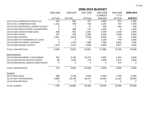|                |               |               | 2009-2010 BUDGET |                             |                      |               |
|----------------|---------------|---------------|------------------|-----------------------------|----------------------|---------------|
|                | 2005-2006     | 2006-2007     | 2007-2008        | 2008-2009<br><b>CURRENT</b> | 2008-2009<br>$Y-T-D$ | 2009-2010     |
|                | <b>ACTUAL</b> | <b>ACTUAL</b> | <b>ACTUAL</b>    | <b>BUDGET</b>               | <b>ACTUAL</b>        | <b>BUDGET</b> |
| E              | 616           | 881           | 197              | 1,500                       | 913                  | 1,500         |
|                | 1,411         | 438           | 720              | 1,200                       | 720                  | 1,200         |
| <b>ASUALT:</b> | 0             | $\Omega$      | 71               | 500                         | 552                  | 500           |
| RTISING        | 0             | 368           | 721              | 1,200                       |                      | 1,200         |

| 102-02-5310 COMMUNICATIONS-TELE        | 616   | 881      | 197    | 1,500  | 913    | 1,500  |
|----------------------------------------|-------|----------|--------|--------|--------|--------|
| 102-02-5311 COMMUNICATIONS             | 1,411 | 438      | 720    | 1,200  | 720    | 1,200  |
| 102-02-5315 INSURANCE & BONDS CASUALT  | 0     | $\Omega$ | 71     | 500    | 552    | 500    |
| 102-02-5320 PUBLICATIONS & ADVERTISING | 0     | 368      | 721    | 1,200  | 0      | 1,200  |
| 102-02-5335 ASSOCIATIONS DUES          | 200   | 451      | 1,041  | 2,200  | 1,208  | 2,200  |
| 102-02-5350 TRAVEL                     | 247   | 402      | 2,360  | 2,000  | 1,046  | 2,000  |
| 102-02-5355 SCHOOLS                    | 2,317 | 4,645    | 5,546  | 5,000  | 776    | 5,000  |
| 102-02-5360 ETS FEES/BANK SVC CHGS     | O     | 0        | 0      | 1,100  | 978    | 1,000  |
| 102-02-5395 SOFTWARE CONTRACT          | 0     | 1,323    | 7,285  | 7,386  | 6,945  | 7,400  |
| 102-02-5396 HUMANE SOCIETY             | 1,475 | 1,412    | 1,628  | 5,000  | 3,877  | 3,000  |
| <b>TOTAL CONTRACTUAL</b>               | 6,266 | 9,921    | 19,567 | 27,086 | 17,016 | 25,000 |
| <b>MAINTENANCE</b>                     |       |          |        |        |        |        |
| 102-02-5420 MACHINERY & EQUIPMENT      | 187   | 3,440    | 16,151 | 3,000  | 2,407  | 3,000  |
| 102-02-5430 MOTOR VEHICLE & MAINT      | 89    | 1,484    | 778    | 1,500  | 1,073  | 1,500  |
| 102-02-5460 MISCELLANEOUS MAINTENANC   | 0     | 0        | 0      | 0      | 575    | 0      |
| <b>TOTAL MAINTENANCE</b>               | 276   | 4,924    | 16,929 | 4,500  | 4,055  | 4,500  |
| <b>SUNDRY</b>                          |       |          |        |        |        |        |
| 102-02-5620 LEGAL                      | 988   | 3,136    | 4,336  | 5,000  | 1,796  | 5,000  |
| 102-02-5621 PROFESSIONAL               | 6,808 | 13,746   | 36,127 | 20,000 | 11,163 | 20,000 |
| 102-02-5625 REFUNDS                    | 0     | 0        | 0      | 0      | 0      | 0      |
| <b>TOTAL SUNDRY</b>                    | 7,796 | 16,882   | 40,463 | 25,000 | 12,960 | 25,000 |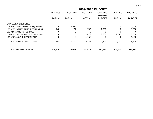|                                   | 2005-2006     | 2006-2007     | 2007-2008     | 2008-2009<br><b>CURRENT</b> | 2008-2009<br>$Y-T-D$ | 2009-2010     |
|-----------------------------------|---------------|---------------|---------------|-----------------------------|----------------------|---------------|
|                                   | <b>ACTUAL</b> | <b>ACTUAL</b> | <b>ACTUAL</b> | <b>BUDGET</b>               | <b>ACTUAL</b>        | <b>BUDGET</b> |
| <b>CAPITAL EXPENDITURES</b>       |               |               |               |                             |                      |               |
| 102-02-5715 MACHINERY & EQUIPMENT | 0             | 6,986         | 0             | $\Omega$                    | 0                    | 40,000        |
| 102-02-5718 FURNITURE & EQUIPMENT | 748           | 224           | 749           | 1,000                       | O                    | 1,000         |
| 102-02-5720 MOTOR VEHICLE         | 0             | 0             | 0             |                             |                      | 0             |
| 102-02-5725 COMMUNICATIONS EQUIP  | 0             | 0             | 2,478         | 3,500                       | 2,097                | 3,500         |
| 102-02-5730 OTHER EQUIPMENT       | 0             | 0             | 11,158        | 0                           |                      | 1,000         |
| TOTAL CAPITAL EXPENDITURES        | 748           | 7,210         | 14,384        | 4,500                       | 2,097                | 45,500        |
| <b>TOTAL CODE ENFORCEMENT</b>     | 104,705       | 184,033       | 257,673       | 239,413                     | 204,470              | 283,888       |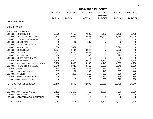### 2005-2006 2006-2007 2007-2008 2008-2009 2008-2009 **2009-2010**CURRENT Y-T-DACTUAL ACTUAL ACTUAL BUDGET ACTUAL **BUDGET2009-2010 BUDGETMUNICIPAL COURT**EXPENDITURESPERSONNEL SERVICES102-03-5110 SUPERVISION 7,200 7,750 7,800 8,400 8,400 8,400 102-03-5111 SALARIES FULL-TIME 42,573 43,952 46,656 58,100 46,259 62,000 102-03-5112 SALARIES PART-TIMEE 0 0 0 0 0 0 0 102-03-5113 OVERTIME 0 21 139 0 0 0 102-03-5114 CONTRACT LABOR 0 00 000 102-03-5115 VACATION 1,306 2,051 2,123 0 3,378 0 102-03-5116 SICK LEAVE 1,667 2,744 3,347 0 2,665 0 102-03-5117 HOLIDAY 2,311 2,370 2,552 0 2,442 0 102-03-5118 COMP TIME 1,404 1,225 967 0 922 0 102-03-5155 CERTIFICATION PAY 0 00 000 102-03-5160 RETIREMENT 4,176 3,910 5,611 8,250 7,061 9,220 102-03-5170 SOCIAL SECURITY/MEDICARE 3,768 4,006 4,267 4,445 4,258 4,750 102-03-5175 HEALTH INSURANCE 9,348 9,348 8,413 8,680 8,645 8,680 102-03-5176 DENTAL 838 644 537 570 562 570 102-03-5177 LIFE INSURANCE 317 261 207 440 215 440 102-03-5178 VISION 240 216 216 220 216 220 102-03-5179 LONG TERM DISABILITY 0 0 158 360 164 360 102-03-5180 WORKERS COMPP 0 0 0 200 220 200 \_ TOTAL PERSONNEL SERVICES 75,149 78,500 82,993 89,665 85,408 94,840 102-03-5210 OFFICE SUPPLIES 1,191 1,100 710 1,000 550 1,000 102-03-5215 POSTAGE384 407 510 500 491 600

\_

s 413 0 0 0 0 0

1,987 1,507 1,220 1,500 1,041 1,600

SUPPLIES

TOTAL SUPPLIES

102-03-5290 MISCELLANEOUS SUPPLIES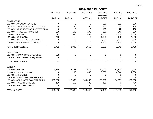|                                        | 2005-2006     | 2006-2007      | 2007-2008     | 2008-2009<br><b>CURRENT</b> | 2008-2009<br>$Y-T-D$ | 2009-2010     |
|----------------------------------------|---------------|----------------|---------------|-----------------------------|----------------------|---------------|
|                                        | <b>ACTUAL</b> | <b>ACTUAL</b>  | <b>ACTUAL</b> | <b>BUDGET</b>               | <b>ACTUAL</b>        | <b>BUDGET</b> |
| CONTRACTUAL                            |               |                |               |                             |                      |               |
| 102-03-5310 COMMUNICATIONS             | 0             | $\mathbf 0$    | 0             | 500                         | 302                  | 500           |
| 102-03-5315 INSURANCE & BONDS-CASUALTY | 50            | 50             | 50            | 100                         | 50                   | 100           |
| 102-03-5320 PUBLICATIONS & ADVERTISING | 0             | $\Omega$       | 0             | 100                         | 72                   | 100           |
| 102-03-5335 ASSOCIATIONS DUES          | 318           | 105            | 105           | 200                         | 240                  | 300           |
| 102-03-5350 TRAVEL                     | 693           | 1,530          | 897           | 1,500                       | 1,354                | 2,000         |
| 102-03-5355 SCHOOLS                    | 400           | 410            | 0             | 1,000                       | 130                  | 1,000         |
| 102-03-5360 ETS FEES/BANK SVC CHGS     | 0             | 0              | ∩             | 2,000                       | 2,493                | 3,000         |
| 102-03-5395 SOFTWARE CONTRACT          | 0             | 0              | $\Omega$      | 1,200                       | 1,200                | 2,400         |
| TOTAL CONTRACTUAL                      | 1,461         | 2,095          | 1,052         | 6,600                       | 5,841                | 9,400         |
| <b>MAINTENANCE</b>                     |               |                |               |                             |                      |               |
| 102-03-5415 FURNITURE & FIXTURES       | 938           | 0              | 0             | 0                           | 0                    | $\Omega$      |
| 102-03-5420 MACHINERY & EQUIPMENT      | 0             | 0              | 0             | 0                           | 0                    | 0             |
| <b>TOTAL MAINTENANCE</b>               | 938           | $\overline{0}$ | $\Omega$      | $\overline{0}$              | 0                    | $\Omega$      |
| <b>SUNDRY</b>                          |               |                |               |                             |                      |               |
| 102-03-5620 LEGAL                      | 3,836         | 4,228          | 7,519         | 12,000                      | 12,340               | 20,000        |
| 102-03-5621 PROFESSIONAL               | O             | 295            | 1,638         | 5,000                       | 4,344                | 2,000         |
| 102-03-5625 REFUNDS                    |               | 0              | O             | 0                           |                      |               |
| 102-03-5635 TRANSFER TO RESERVES       |               | 0              |               | 0                           |                      |               |
| 102-03-5636 TRANSFER TO STATE-FINES    | 133,018       | 117,666        | 184,050       | 150,000                     | 164,211              | 150,000       |
| 102-03-5655 COURT EXPENSE              | 126           | 150            | 338           | 400                         | O                    | 400           |
| 102-03-5660 MISCELLANEOUS              | 0             | 0              | 100           | 0                           |                      | 0             |
| <b>TOTAL SUNDRY</b>                    | 136,980       | 122,338        | 193,645       | 167,400                     | 180,895              | 172,400       |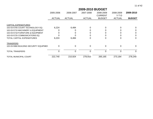|                                        | 2005-2006     |               | 2006-2007<br>2007-2008<br>2008-2009<br><b>CURRENT</b> |               | 2008-2009<br>$Y-T-D$ | 2009-2010     |
|----------------------------------------|---------------|---------------|-------------------------------------------------------|---------------|----------------------|---------------|
|                                        | <b>ACTUAL</b> | <b>ACTUAL</b> | <b>ACTUAL</b>                                         | <b>BUDGET</b> | <b>ACTUAL</b>        | <b>BUDGET</b> |
| <b>CAPITAL EXPENDITURES</b>            |               |               |                                                       |               |                      |               |
| 102-03-5705 COURT TECHNOLOGY EQ        | 6,224         | 6,484         |                                                       | 0             |                      | 0             |
| 102-03-5715 MACHINERY & EQUIPMENT      |               |               |                                                       |               |                      | Ω             |
| 102-03-5718 FURNITURE & EQUIPMENT      |               |               |                                                       |               |                      |               |
| 102-03-5725 COMMUNICATIONS EQ          |               |               |                                                       |               |                      | 0             |
| <b>TOTAL CAPITAL EXPENDITURES</b>      | 6,224         | 6,484         |                                                       | 0             |                      | 0             |
| <b>TRANSFERS</b>                       |               |               |                                                       |               |                      |               |
| 102-03-5960 BUILDING SECURITY EQUIPMEN | 0             | $\Omega$      | $\Omega$                                              | 0             | 0                    | 0             |
| <b>TOTAL TRANSFERS</b>                 | 0             | $\Omega$      | $\Omega$                                              | 0             | 0                    | 0             |
| <b>TOTAL MUNICIPAL COURT</b>           | 222,740       | 210,924       | 278,910                                               | 265,165       | 273,184              | 278,240       |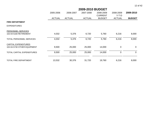|                              | 2005-2006     | 2006-2007     | 2007-2008     | 2008-2009<br><b>CURRENT</b> | 2008-2009<br>$Y-T-D$ | 2009-2010     |
|------------------------------|---------------|---------------|---------------|-----------------------------|----------------------|---------------|
|                              | <b>ACTUAL</b> | <b>ACTUAL</b> | <b>ACTUAL</b> | <b>BUDGET</b>               | <b>ACTUAL</b>        | <b>BUDGET</b> |
| <b>FIRE DEPARTMENT</b>       |               |               |               |                             |                      |               |
| <b>EXPENDITURES</b>          |               |               |               |                             |                      |               |
| PERSONNEL SERVICES           |               |               |               |                             |                      |               |
| 102-04-5160 RETIREMENT       | 4,032         | 5,376         | 6,720         | 5,760                       | 6,216                | 8,000         |
| TOTAL PERSONNEL SERVICES     | 4,032         | 5,376         | 6,720         | 5,760                       | 6,216                | 8,000         |
| CAPITAL EXPENDITURES         |               |               |               |                             |                      |               |
| 102-04-5730 OTHER EQUIPMENT  | 9,500         | 25,000        | 25,000        | 14,000                      | 0                    | $\mathbf 0$   |
| TOTAL CAPITAL EXPENDITURES   | 9,500         | 25,000        | 25,000        | 14,000                      | 0                    | $\mathbf 0$   |
| <b>TOTAL FIRE DEPARTMENT</b> | 13,532        | 30,376        | 31,720        | 19,760                      | 6,216                | 8,000         |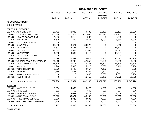|                                      | 2009-2010 BUDGET |               |               |                |               |                |  |  |
|--------------------------------------|------------------|---------------|---------------|----------------|---------------|----------------|--|--|
|                                      | 2005-2006        | 2006-2007     | 2007-2008     | 2008-2009      | 2008-2009     | 2009-2010      |  |  |
|                                      |                  |               |               | <b>CURRENT</b> | $Y-T-D$       |                |  |  |
|                                      | <b>ACTUAL</b>    | <b>ACTUAL</b> | <b>ACTUAL</b> | <b>BUDGET</b>  | <b>ACTUAL</b> | <b>BUDGET</b>  |  |  |
| <b>POLICE DEPARTMENT</b>             |                  |               |               |                |               |                |  |  |
| <b>EXPENDITURES</b>                  |                  |               |               |                |               |                |  |  |
| PERSONNEL SERVICES                   |                  |               |               |                |               |                |  |  |
| 102-05-5110 SUPERVISION              | 60,401           | 48,985        | 50,333        | 57,400         | 50,153        | 58,970         |  |  |
| 102-05-5111 SALARIES FULL-TIME       | 407,328          | 510,324       | 611,035       | 675,810        | 562,205       | 680,000        |  |  |
| 102-05-5112 SALARIES PART-TIME       | 1,886            | 8,918         | 1,303         | 0              | 4,548         | 0              |  |  |
| 102-05-5113 OVERTIME                 | 4,529            | 869           | 5,556         | 5,000          | 8,389         | 5,000          |  |  |
| 102-05-5114 CONTRACT LABOR           | 0                | 0             | $\mathbf 0$   | 0              | 0             | 0              |  |  |
| 102-05-5115 VACATION                 | 15,358           | 10,671        | 30,223        | 0              | 34,312        | $\overline{0}$ |  |  |
| 102-05-5116 SICK LEAVE               | 5,634            | 13,787        | 12,613        | 0              | 16,512        | $\Omega$       |  |  |
| 102-05-5117 HOLIDAY                  | 18,525           | 25,554        | 31,537        | 0              | 32,523        | $\Omega$       |  |  |
| 102-05-5118 COMP TIME                | 6,595            | 9,337         | 14,110        | $\overline{0}$ | 10,787        | $\mathbf 0$    |  |  |
| 102-05-5155 CERTIFICATION PAY        | $\mathbf 0$      | 0             | $\mathbf 0$   | $\overline{0}$ | 0             | $\Omega$       |  |  |
| 102-05-5160 RETIREMENT               | 44,896           | 46,349        | 76,013        | 103,400        | 90,527        | 110,700        |  |  |
| 102-05-5170 SOCIAL SECURITY/MEDICARE | 40,669           | 48,299        | 57,857        | 56,500         | 55,068        | 60,000         |  |  |
| 102-05-5175 HEALTH INSURANCE         | 65,816           | 77,518        | 83,433        | 86,800         | 83,519        | 89,300         |  |  |
| 102-05-5176 DENTAL                   | 6,246            | 5,538         | 5,326         | 5,700          | 5,419         | 5,700          |  |  |
| 102-05-5177 LIFE INSURANCE           | 2,606            | 2,720         | 2,657         | 4,400          | 2,697         | 4,500          |  |  |
| 102-05-5178 VISION                   | 1,750            | 1,685         | 2,151         | 2,200          | 2,097         | 2,200          |  |  |
| 102-05-5179 LONG TERM DISABILITY     | 0                | 0             | 2,045         | 3,600          | 2,031         | 3,750          |  |  |
| 102-05-5180 WORK COMP                | $\overline{0}$   | $\mathbf 0$   | 16,750        | 20,400         | 24,375        | 25,000         |  |  |
| TOTAL PERSONNEL SERVICES             | 682,238          | 810,554       | 1,002,943     | 1,021,210      | 985,162       | 1,045,120      |  |  |
| <b>SUPPLIES</b>                      |                  |               |               |                |               |                |  |  |
| 102-05-5210 OFFICE SUPPLIES          | 5,264            | 4,863         | 3,622         | 4,500          | 4,723         | 4,500          |  |  |
| 102-05-5215 POSTAGE                  | 522              | 468           | 545           | 500            | 377           | 500            |  |  |
| 102-05-5225 WEARING APPAREL          | 3,405            | 3,082         | 4,578         | 5,500          | 3,508         | 5,500          |  |  |
| 102-05-5230 FUEL/GAS & DIESEL        | 29,572           | 30,821        | 43,195        | 60,000         | 29,913        | 50,000         |  |  |
| 102-05-5235 TECHNICAL SUPPLIES       | 1,568            | 4,845         | 3,981         | 4,000          | 2,068         | 4,000          |  |  |
| 102-05-5290 MISCELLANEOUS SUPPLIES   | 2,946            | 5,303         | 2,786         | 3,000          | 3,553         | 3,000          |  |  |
| <b>TOTAL SUPPLIES</b>                | 43,277           | 49,383        | 58,707        | 77,500         | 44,142        | 67,500         |  |  |

**CONTRACTUAL**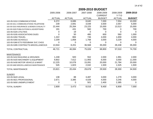|                                        | 2005-2006     | 2006-2007     | 2007-2008     | 2008-2009<br><b>CURRENT</b> | 2008-2009<br>$Y-T-D$ | 2009-2010     |
|----------------------------------------|---------------|---------------|---------------|-----------------------------|----------------------|---------------|
|                                        | <b>ACTUAL</b> | <b>ACTUAL</b> | <b>ACTUAL</b> | <b>BUDGET</b>               | <b>ACTUAL</b>        | <b>BUDGET</b> |
| 102-05-5310 COMMUNICATIONS             | 6,372         | 6,686         | 8,640         | 7,000                       | 7,554                | 10,000        |
| 102-05-5311 COMMUNICATIONS-TELEPHONE   | 239           | 2,691         | 3,039         | 3,500                       | 2,057                | 5,000         |
| 102-05-5315 INSURANCE & BONDS-CASUALTY | 22,444        | 25,264        | 23,225        | 15,000                      | 13,513               | 15,000        |
| 102-05-5320 PUBLICATIONS & ADVERTISING | 191           | 431           | 560           | 700                         | 0                    | 700           |
| 102-05-5325 UTILITIES                  | 0             | 19            | 0             | 0                           | 0                    | $\Omega$      |
| 102-05-5335 ASSOCIATIONS DUES          | 0             | 50            | 480           | 600                         | 560                  | 1,000         |
| 102-05-5350 TRAVEL                     | 1,322         | 884           | 746           | 4,000                       | 1,659                | 4,000         |
| 102-05-5355 SCHOOLS                    | 2,209         | 1,858         | 1,768         | 3,000                       | 3,229                | 4,000         |
| 102-05-5360 ETS FEES/BANK SVC CHGS     | $\Omega$      | 0             | 0             | 0                           | 0                    | $\Omega$      |
| 102-05-5395 CONTRACTS-MISCELLANEOUS    | 13,944        | 8,201         | 36,568        | 35,000                      | 28,438               | 35,000        |
| TOTAL CONTRACTUAL                      | 46,721        | 46,084        | 75,026        | 68,800                      | 57,010               | 74,700        |
| <b>MAINTENANCE</b>                     |               |               |               |                             |                      |               |
| 102-05-5410 BUILDING & GROUNDS         | 1,248         | 920           | 552           | 2,000                       | 1,991                | 2,000         |
| 102-05-5420 MACHINERY & EQUIPMENT      | 9,802         | 7,612         | 11,993        | 6,000                       | 3,000                | 11,000        |
| 102-05-5430 MOTOR VEHICLE & MAINT      | 12,225        | 10,078        | 15,091        | 20,000                      | 21,784               | 20,000        |
| 102-05-5460 MISCELLANEOUS MAINTENANCE  | 545           | 1,823         | 2,042         | 1,500                       | 1,525                | 1,500         |
| <b>TOTAL MAINTENANCE</b>               | 23,821        | 20,434        | 29,678        | 29,500                      | 28,300               | 34,500        |
| <b>SUNDRY</b>                          |               |               |               |                             |                      |               |
| 102-05-5620 LEGAL                      | 138           | 88            | 3,487         | 3,000                       | 1,279                | 3,000         |
| 102-05-5621 PROFESSIONAL               | 2,671         | 3,385         | 4,028         | 4,000                       | 3,246                | 4,000         |
| 102-05-5650 UNEMPLOYMENT               | 0             | 0             | 501           | 2,400                       | 2,385                | 0             |
| <b>TOTAL SUNDRY</b>                    | 2,809         | 3,473         | 8,016         | 9,400                       | 6,909                | 7,000         |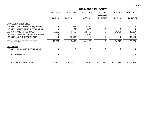|  | ıT<br>O |  |
|--|---------|--|
|--|---------|--|

| 2009-2010 BUDGET |  |
|------------------|--|
|------------------|--|

|                                      | 2005-2006     | 2006-2007     | 2007-2008     | 2008-2009<br><b>CURRENT</b> | 2008-2009<br>$Y-T-D$ | 2009-2010      |
|--------------------------------------|---------------|---------------|---------------|-----------------------------|----------------------|----------------|
|                                      | <b>ACTUAL</b> | <b>ACTUAL</b> | <b>ACTUAL</b> | <b>BUDGET</b>               | <b>ACTUAL</b>        | <b>BUDGET</b>  |
| <b>CAPITAL EXPENDITURES</b>          |               |               |               |                             |                      |                |
| 102-05-5715 MACHINERY & EQUIPMENT    | 574           | 17,563        | 10,780        | 0                           | 0                    | 0              |
| 102-05-5718 FURNITURE & EQUIPMENT    | 0             | 121           | 420           | 0                           |                      | 0              |
| 102-05-5720 MOTOR VEHICLE            | 9,501         | 59,750        | 22,469        | 0                           | 24,775               | 19,600         |
| 102-05-5725 COMMUNICATIONS EQUIPMENT | 0             | 12,400        | 7,457         | 0                           |                      | $\Omega$       |
| 102-05-5730 OTHER EQUIPMENT          | 0             | 20,664        | 0             | $\mathbf 0$                 | 0                    | 11,700         |
| TOTAL CAPITAL EXPENDITURES           | 10,075        | 110,499       | 41,127        | $\mathbf 0$                 | 24,775               | 31,300         |
| <b>TRANSFERS</b>                     |               |               |               |                             |                      |                |
| 102-05-5910 BUILDING & EQUIPMENT     | 0             | $\mathbf 0$   | $\mathbf 0$   | $\mathbf 0$                 | 0                    | $\overline{0}$ |
| <b>TOTAL TRANSFERS</b>               | $\mathbf 0$   | $\mathbf 0$   | $\mathbf 0$   | $\overline{0}$              | 0                    | $\overline{0}$ |
| <b>TOTAL POLICE DEPARTMENT</b>       | 808,941       | 1,040,426     | 1,215,497     | 1,206,410                   | 1,146,298            | 1,260,120      |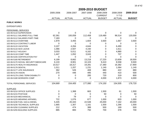|                                      |                  |               | 2009-2010 BUDGET |                |                |               |
|--------------------------------------|------------------|---------------|------------------|----------------|----------------|---------------|
|                                      | 2005-2006        | 2006-2007     | 2007-2008        | 2008-2009      | 2008-2009      | 2009-2010     |
|                                      |                  |               |                  | <b>CURRENT</b> | $Y-T-D$        |               |
|                                      | <b>ACTUAL</b>    | <b>ACTUAL</b> | <b>ACTUAL</b>    | <b>BUDGET</b>  | <b>ACTUAL</b>  | <b>BUDGET</b> |
| <b>PUBLIC WORKS</b>                  |                  |               |                  |                |                |               |
| <b>EXPENDITURES</b>                  |                  |               |                  |                |                |               |
| PERSONNEL SERVICES                   |                  |               |                  |                |                |               |
| 102-06-5110 SUPERVISION              | 0                | 0             | 0                | 0              | 0              | 0             |
| 102-06-5111 SALARIES FULL-TIME       | 62,361           | 100,059       | 112,458          | 119,480        | 96,514         | 120,000       |
| 102-06-5112 SALARIES PART-TIME       | 7,183            | 0             | 0                | 0              | 0              | 0             |
| 102-06-5113 OVERTIME                 | 1,979            | 3,455         | 1,604            | 3,500          | 1,667          | 3,500         |
| 102-06-5114 CONTRACT LABOR           | 0                | 0             | 0                | 0              | 0              | 0             |
| 102-06-5115 VACATION                 | 3,107            | 4,264         | 4,644            | 0              | 6,490          | 0             |
| 102-06-5116 SICK LEAVE               | 1,066            | 2,507         | 4,150            | 0              | 1,611          | 0             |
| 102-06-5117 HOLIDAY                  | 3,033            | 5,011         | 6,162            | 0              | 4,880          | 0             |
| 102-06-5118 COMP TIME                | 1,447            | 1,052         | 3,043            | 0              | 707            | 0             |
| 102-06-5155 CERTIFICATION PAY        | 0                | 0             | 0                | 0              | 0              | 0             |
| 102-06-5160 RETIREMENT               | 6,199            | 8,662         | 13,218           | 17,220         | 13,609         | 18,500        |
| 102-06-5170 SOCIAL SECURITY/MEDICARE | 6,133            | 8,901         | 10,103           | 9,410          | 8,558          | 9,500         |
| 102-06-5175 HEALTH INSURANCE         | 10,517           | 18,317        | 19,281           | 17,360         | 16,382         | 17,900        |
| 102-06-5176 DENTAL                   | 1,011            | 1,207         | 1,231            | 1,140          | 1,064          | 1,140         |
| 102-06-5177 LIFE INSURANCE           | 362              | 526           | 408              | 880            | 422            | 880           |
| 102-06-5178 VISION                   | 270              | 446           | 495              | 440            | 410            | 500           |
| 102-06-5179 LONG TERM DISABILITY     | 0                | 0             | 285              | 720            | 319            | 800           |
| 102-06-5180 WORKERS COMP             | 0                | 0             | 0                | 4,000          | 1,873          | 4,000         |
| <b>TOTAL PERSONNEL SERVICES</b>      | 104,669          | 154,405       | 177,080          | 174,150        | 154,505        | 176,720       |
| <b>SUPPLIES</b>                      |                  |               |                  |                |                |               |
| 102-06-5210 OFFICE SUPPLIES          | 0                | 1,368         | 663              | 1,500          | 61             | 1,500         |
| 102-06-5215 POSTAGE                  | 0                | 0             | 0                | 50             | 0              | 50            |
| 102-06-5220 MECHANICAL               | $\boldsymbol{0}$ | 79            | $\boldsymbol{0}$ | $\mathbf 0$    | $\overline{0}$ | 0             |
| 102-06-5225 WEARING APPAREL          | 722              | 1,076         | 677              | 1,000          | 820            | 1,000         |
| 102-06-5230 FUEL GAS & DIESEL        | 5,445            | 20,343        | 22,548           | 25,000         | 7,162          | 20,000        |
| 102-06-5235 TECHNICAL SUPPLIES       | 1,665            | 1,307         | 1,161            | 1,500          | 1,266          | 1,500         |
| 102-06-5250 CLEANING SUPPLIES        | 212              | 474           | 388              | 500            | 169            | 500           |
| 102-06-5255 BUILDING SUPPLIES        | 885              | 883           | 750              | 700            | 378            | 700           |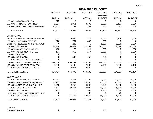|                                        | 2009-2010 BUDGET |               |               |                             |                      |               |  |  |
|----------------------------------------|------------------|---------------|---------------|-----------------------------|----------------------|---------------|--|--|
|                                        | 2005-2006        | 2006-2007     | 2007-2008     | 2008-2009<br><b>CURRENT</b> | 2008-2009<br>$Y-T-D$ | 2009-2010     |  |  |
|                                        | <b>ACTUAL</b>    | <b>ACTUAL</b> | <b>ACTUAL</b> | <b>BUDGET</b>               | <b>ACTUAL</b>        | <b>BUDGET</b> |  |  |
| 102-06-5260 FOOD SUPPLIES              | 225              | $\Omega$      | 9             | $\overline{0}$              | $\Omega$             | $\Omega$      |  |  |
| 102-06-5285 TRACTOR SUPPLIES           | 5,804            | 2,961         | 3,196         | 3,500                       | 3,193                | 3,500         |  |  |
| 102-06-5290 MISCELLANEOUS SUPPLIES     | 17,913           | 447           | 209           | 500                         | 83                   | 500           |  |  |
| <b>TOTAL SUPPLIES</b>                  | 32,872           | 28,938        | 29,601        | 34,250                      | 13,132               | 29,250        |  |  |
| CONTRACTUAL                            |                  |               |               |                             |                      |               |  |  |
| 102-06-5310 COMMUNICATIONS-TELEPHONE   | 1,001            | 4,696         | 1,321         | 2,000                       | 2,109                | 2,000         |  |  |
| 102-06-5311 COMMUNICATIONS             | 820              | 784           | 405           | 500                         | 0                    | 0             |  |  |
| 102-06-5315 INSURANCE & BONDS CASUALTY | $\mathbf 0$      | 239           | $\mathbf 0$   | 1,800                       | 1,025                | 1,800         |  |  |
| 102-06-5325 UTILITIES                  | 96,860           | 98,627        | 122,159       | 130,000                     | 109,034              | 130,000       |  |  |
| 102-06-5335 ASSOCIATIONS DUES          | 473              | 29            | 111           | 200                         | 0                    | 200           |  |  |
| 102-06-5340 EQUIPMENT RENTAL           | 173              | 853           | 267           | 2,000                       | 0                    | 2,000         |  |  |
| 102-06-5350 TRAVEL                     | 0                | 0             | $\mathbf 0$   | 0                           | 0                    | 0             |  |  |
| 102-06-5355 SCHOOLS                    | 0                | 545           | 155           | 200                         | 0                    | 0             |  |  |
| 102-06-5360 ETS FEES/BANK SVC CHGS     | 0                | 0             | $\Omega$      | $\mathbf 0$                 | 0                    | 0             |  |  |
| 102-06-5370 SOLID WASTE CONTRACT       | 319,548          | 454,249       | 515,753       | 522,000                     | 506,540              | 600,000       |  |  |
| 102-06-5375 JANITORIAL SERVICES        | 5,558            | 5,400         | 7,088         | 7,150                       | 5,750                | 7,150         |  |  |
| 102-06-5395 SOFTWARE CONTRACT          | 0                | 3,951         | 2,880         | 0                           | 45                   | 0             |  |  |
| TOTAL CONTRACTUAL                      | 424,433          | 569,373       | 650,138       | 665,850                     | 624,503              | 743,150       |  |  |
| <b>MAINTENANCE</b>                     |                  |               |               |                             |                      |               |  |  |
| 102-06-5410 BUILDING & GROUNDS         | 10,452           | 15,897        | 31,232        | 20,000                      | 22,013               | 25,000        |  |  |
| 102-06-5420 MACHINERY & EQUIPMENT      | 33,727           | 38,841        | 26,795        | 15,000                      | 25,835               | 15,000        |  |  |
| 102-06-5430 MOTOR VEHICLE & MAINT      | 3,515            | 3,255         | 4,397         | 5,000                       | 1,256                | 5,000         |  |  |
| 102-06-5435 STREETS & ALLEYS           | 20,537           | 34,876        | 44,029        | 38,000                      | 24,396               | 25,000        |  |  |
| 102-06-5440 CULVERTS                   | 3,282            | 0             | 568           | 1,100                       | 1,089                | 2,000         |  |  |
| 102-06-5460 MISCELLANEOUS MAINTENANCE  | 0                | 0             | 1,466         | 0                           | 75                   | $\Omega$      |  |  |
| 102-06-5465 SIGNALS & MARKERS          | 0                | 11,164        | 12,649        | 14,000                      | 4,925                | 10,000        |  |  |
| <b>TOTAL MAINTENANCE</b>               | 71,513           | 104,033       | 121,135       | 93,100                      | 79,590               | 82,000        |  |  |

| <b>SUNDRY</b>     |    |     |     |
|-------------------|----|-----|-----|
| 102-06-5620 LEGAL | 30 | 200 | 200 |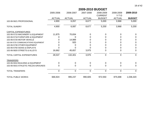| A<br>8. | ΩT | 4. |
|---------|----|----|
|---------|----|----|

|                                      | 2005-2006     | 2006-2007     | 2007-2008      | 2008-2009      | 2008-2009      | 2009-2010      |
|--------------------------------------|---------------|---------------|----------------|----------------|----------------|----------------|
|                                      |               |               |                | <b>CURRENT</b> | $Y-T-D$        |                |
|                                      | <b>ACTUAL</b> | <b>ACTUAL</b> | <b>ACTUAL</b>  | <b>BUDGET</b>  | <b>ACTUAL</b>  | <b>BUDGET</b>  |
| 102-06-5621 PROFESSIONAL             | 4,900         | 6,057         | 8,677          | 5,000          | 3,968          | 5,000          |
| <b>TOTAL SUNDRY</b>                  | 4,900         | 6,087         | 8,677          | 5,200          | 3,968          | 5,200          |
| <b>CAPITAL EXPENDITURES</b>          |               |               |                |                |                |                |
| 102-06-5715 MACHINERY & EQUIPMENT    | 11,875        | 70,834        | 0              | 0              | 0              | $\Omega$       |
| 102-06-5718 FURNITURE & EQUIPMENT    | ი             | 0             |                |                |                | 0              |
| 102-06-5720 MOTOR VEHICLE            | O             | 14,989        |                |                |                | 0              |
| 102-06-5725 COMMUNICATIONS EQUIPMENT |               | 920           |                |                |                | 0              |
| 102-06-5730 OTHER EQUIPMENT          |               |               |                |                |                | 0              |
| 102-06-5750 SIGNS & DISPLAYS         |               |               |                |                |                | 0              |
| 102-06-5820 STREETS & ALLEYS         | 16,662        | 45,657        | 3,975          | 0              | 0              | $\overline{0}$ |
| <b>TOTAL CAPITAL EXPENDITURES</b>    | 28,537        | 132,401       | 3,975          | 0              | $\overline{0}$ | $\overline{0}$ |
| <b>TRANSFERS</b>                     |               |               |                |                |                |                |
| 102-06-5910 BUILDING & EQUIPMENT     | 0             | $\Omega$      | 0              | 0              | 0              | $\Omega$       |
| 102-06-5915 ATHLETIC FIELDS-GROUNDS  | 0             |               | 0              | 0              | O              | $\Omega$       |
| <b>TOTAL TRANSFERS</b>               | $\mathbf 0$   | $\mathbf 0$   | $\overline{0}$ | $\mathbf 0$    | $\mathbf 0$    | $\overline{0}$ |
| <b>TOTAL PUBLIC WORKS</b>            | 666,924       | 995,237       | 990,605        | 972,550        | 875,698        | 1,036,320      |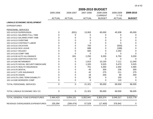| 2007-2008<br>2005-2006<br>2006-2007<br>2008-2009<br>2008-2009<br><b>CURRENT</b><br>$Y-T-D$<br><b>ACTUAL</b><br><b>ACTUAL</b><br><b>ACTUAL</b><br><b>BUDGET</b><br><b>ACTUAL</b><br><b>LINDALE ECONOMIC DEVELOPMENT</b><br><b>EXPENDITURES</b><br>PERSONNEL SERVICES<br>(831)<br>13,063<br>65,000<br>45,938<br>102-14-5110 SUPERVISION<br>$\Omega$<br>102-14-5111 SALARIES FULL-TIME<br>0<br>$\mathbf 0$<br>0<br>U<br>0<br>102-14-5112 SALARIES PART-TIME<br>0<br>$\Omega$<br>$\Omega$<br>O<br>0<br>102-14-5113 OVERTIME<br>$\Omega$<br>$\Omega$<br>$\Omega$<br>0<br>O<br>$\Omega$<br>102-14-5114 CONTRACT LABOR<br>$\Omega$<br>$\Omega$<br>O<br>0<br>(500)<br>102-14-5115 VACATION<br>$\Omega$<br>750<br>0<br>O<br>688<br>(188)<br>102-14-5116 SICK LEAVE<br>0<br>0<br>O<br>500<br>2,250<br>102-14-5117 HOLIDAY<br>$\Omega$<br>0<br>O<br>$\overline{0}$<br>$\Omega$<br>102-14-5118 COMP TIME<br>$\Omega$<br>$\Omega$<br>831<br>2,250<br>6,750<br>102-14-5130 AUTO ALLOWANCE<br>9,200<br>O<br>102-14-5155 CERTIFICATION PAY<br>0<br>0<br>0<br>$\Omega$<br>O<br>1,915<br>7,111<br>102-14-5160 RETIREMENT<br>10,150<br>0<br>በ<br>1,320<br>5,525<br>5,470<br>102-14-5170 SOCIAL SECURITY/MEDICARE<br>0<br>102-14-5175 HEALTH INSURANCE<br>0<br>701<br>4,350<br>2,302<br>O<br>300<br>236<br>102-14-5176 DENTAL<br>0<br>45<br>42<br>275<br>211<br>0<br>102-14-5177 LIFE INSURANCE<br>0<br>18<br>200<br>90<br>102-14-5178 VISION<br>0<br>30<br>150<br>0<br>102-14-5179 LONG TERM DISABILITY<br>0<br>0<br>110<br>102-14-5180 WORKERS COMP<br>0<br>0<br>0<br>0<br>$\mathbf 0$<br>$\mathbf 0$<br>21,321<br>95,000<br>69,930<br>TOTAL PERSONNEL SERVICES<br>$\mathbf 0$<br>$\mathbf 0$<br>21,321<br>95,000<br>69,930<br>TOTAL LINDALE ECONOMIC DEV CO<br>TOTAL GENERAL FUND EXPENDITURES<br>2,464,423<br>3,054,101<br>3,262,941<br>3,303,374<br>3,049,317<br>======== |                                   | 2009-2010 BUDGET |            |        |           |         |               |  |  |  |
|------------------------------------------------------------------------------------------------------------------------------------------------------------------------------------------------------------------------------------------------------------------------------------------------------------------------------------------------------------------------------------------------------------------------------------------------------------------------------------------------------------------------------------------------------------------------------------------------------------------------------------------------------------------------------------------------------------------------------------------------------------------------------------------------------------------------------------------------------------------------------------------------------------------------------------------------------------------------------------------------------------------------------------------------------------------------------------------------------------------------------------------------------------------------------------------------------------------------------------------------------------------------------------------------------------------------------------------------------------------------------------------------------------------------------------------------------------------------------------------------------------------------------------------------------------------------------------------------------------------------------------------------------------------------------------------------------------------------------------------------------------------------------------------------------------------------------------------------------------|-----------------------------------|------------------|------------|--------|-----------|---------|---------------|--|--|--|
|                                                                                                                                                                                                                                                                                                                                                                                                                                                                                                                                                                                                                                                                                                                                                                                                                                                                                                                                                                                                                                                                                                                                                                                                                                                                                                                                                                                                                                                                                                                                                                                                                                                                                                                                                                                                                                                            |                                   |                  |            |        |           |         | 2009-2010     |  |  |  |
|                                                                                                                                                                                                                                                                                                                                                                                                                                                                                                                                                                                                                                                                                                                                                                                                                                                                                                                                                                                                                                                                                                                                                                                                                                                                                                                                                                                                                                                                                                                                                                                                                                                                                                                                                                                                                                                            |                                   |                  |            |        |           |         | <b>BUDGET</b> |  |  |  |
|                                                                                                                                                                                                                                                                                                                                                                                                                                                                                                                                                                                                                                                                                                                                                                                                                                                                                                                                                                                                                                                                                                                                                                                                                                                                                                                                                                                                                                                                                                                                                                                                                                                                                                                                                                                                                                                            |                                   |                  |            |        |           |         |               |  |  |  |
|                                                                                                                                                                                                                                                                                                                                                                                                                                                                                                                                                                                                                                                                                                                                                                                                                                                                                                                                                                                                                                                                                                                                                                                                                                                                                                                                                                                                                                                                                                                                                                                                                                                                                                                                                                                                                                                            |                                   |                  |            |        |           |         |               |  |  |  |
|                                                                                                                                                                                                                                                                                                                                                                                                                                                                                                                                                                                                                                                                                                                                                                                                                                                                                                                                                                                                                                                                                                                                                                                                                                                                                                                                                                                                                                                                                                                                                                                                                                                                                                                                                                                                                                                            |                                   |                  |            |        |           |         |               |  |  |  |
|                                                                                                                                                                                                                                                                                                                                                                                                                                                                                                                                                                                                                                                                                                                                                                                                                                                                                                                                                                                                                                                                                                                                                                                                                                                                                                                                                                                                                                                                                                                                                                                                                                                                                                                                                                                                                                                            |                                   |                  |            |        |           |         | 65,000        |  |  |  |
|                                                                                                                                                                                                                                                                                                                                                                                                                                                                                                                                                                                                                                                                                                                                                                                                                                                                                                                                                                                                                                                                                                                                                                                                                                                                                                                                                                                                                                                                                                                                                                                                                                                                                                                                                                                                                                                            |                                   |                  |            |        |           |         | 0             |  |  |  |
|                                                                                                                                                                                                                                                                                                                                                                                                                                                                                                                                                                                                                                                                                                                                                                                                                                                                                                                                                                                                                                                                                                                                                                                                                                                                                                                                                                                                                                                                                                                                                                                                                                                                                                                                                                                                                                                            |                                   |                  |            |        |           |         | 0             |  |  |  |
|                                                                                                                                                                                                                                                                                                                                                                                                                                                                                                                                                                                                                                                                                                                                                                                                                                                                                                                                                                                                                                                                                                                                                                                                                                                                                                                                                                                                                                                                                                                                                                                                                                                                                                                                                                                                                                                            |                                   |                  |            |        |           |         | 0             |  |  |  |
|                                                                                                                                                                                                                                                                                                                                                                                                                                                                                                                                                                                                                                                                                                                                                                                                                                                                                                                                                                                                                                                                                                                                                                                                                                                                                                                                                                                                                                                                                                                                                                                                                                                                                                                                                                                                                                                            |                                   |                  |            |        |           |         | 0             |  |  |  |
|                                                                                                                                                                                                                                                                                                                                                                                                                                                                                                                                                                                                                                                                                                                                                                                                                                                                                                                                                                                                                                                                                                                                                                                                                                                                                                                                                                                                                                                                                                                                                                                                                                                                                                                                                                                                                                                            |                                   |                  |            |        |           |         | 0             |  |  |  |
|                                                                                                                                                                                                                                                                                                                                                                                                                                                                                                                                                                                                                                                                                                                                                                                                                                                                                                                                                                                                                                                                                                                                                                                                                                                                                                                                                                                                                                                                                                                                                                                                                                                                                                                                                                                                                                                            |                                   |                  |            |        |           |         | $\Omega$      |  |  |  |
|                                                                                                                                                                                                                                                                                                                                                                                                                                                                                                                                                                                                                                                                                                                                                                                                                                                                                                                                                                                                                                                                                                                                                                                                                                                                                                                                                                                                                                                                                                                                                                                                                                                                                                                                                                                                                                                            |                                   |                  |            |        |           |         | 0             |  |  |  |
|                                                                                                                                                                                                                                                                                                                                                                                                                                                                                                                                                                                                                                                                                                                                                                                                                                                                                                                                                                                                                                                                                                                                                                                                                                                                                                                                                                                                                                                                                                                                                                                                                                                                                                                                                                                                                                                            |                                   |                  |            |        |           |         | $\Omega$      |  |  |  |
|                                                                                                                                                                                                                                                                                                                                                                                                                                                                                                                                                                                                                                                                                                                                                                                                                                                                                                                                                                                                                                                                                                                                                                                                                                                                                                                                                                                                                                                                                                                                                                                                                                                                                                                                                                                                                                                            |                                   |                  |            |        |           |         | 9,200         |  |  |  |
|                                                                                                                                                                                                                                                                                                                                                                                                                                                                                                                                                                                                                                                                                                                                                                                                                                                                                                                                                                                                                                                                                                                                                                                                                                                                                                                                                                                                                                                                                                                                                                                                                                                                                                                                                                                                                                                            |                                   |                  |            |        |           |         | $\Omega$      |  |  |  |
|                                                                                                                                                                                                                                                                                                                                                                                                                                                                                                                                                                                                                                                                                                                                                                                                                                                                                                                                                                                                                                                                                                                                                                                                                                                                                                                                                                                                                                                                                                                                                                                                                                                                                                                                                                                                                                                            |                                   |                  |            |        |           |         | 11,040        |  |  |  |
|                                                                                                                                                                                                                                                                                                                                                                                                                                                                                                                                                                                                                                                                                                                                                                                                                                                                                                                                                                                                                                                                                                                                                                                                                                                                                                                                                                                                                                                                                                                                                                                                                                                                                                                                                                                                                                                            |                                   |                  |            |        |           |         | 5,525         |  |  |  |
|                                                                                                                                                                                                                                                                                                                                                                                                                                                                                                                                                                                                                                                                                                                                                                                                                                                                                                                                                                                                                                                                                                                                                                                                                                                                                                                                                                                                                                                                                                                                                                                                                                                                                                                                                                                                                                                            |                                   |                  |            |        |           |         | 4,465         |  |  |  |
|                                                                                                                                                                                                                                                                                                                                                                                                                                                                                                                                                                                                                                                                                                                                                                                                                                                                                                                                                                                                                                                                                                                                                                                                                                                                                                                                                                                                                                                                                                                                                                                                                                                                                                                                                                                                                                                            |                                   |                  |            |        |           |         | 300           |  |  |  |
|                                                                                                                                                                                                                                                                                                                                                                                                                                                                                                                                                                                                                                                                                                                                                                                                                                                                                                                                                                                                                                                                                                                                                                                                                                                                                                                                                                                                                                                                                                                                                                                                                                                                                                                                                                                                                                                            |                                   |                  |            |        |           |         | 275           |  |  |  |
|                                                                                                                                                                                                                                                                                                                                                                                                                                                                                                                                                                                                                                                                                                                                                                                                                                                                                                                                                                                                                                                                                                                                                                                                                                                                                                                                                                                                                                                                                                                                                                                                                                                                                                                                                                                                                                                            |                                   |                  |            |        |           |         | 200           |  |  |  |
|                                                                                                                                                                                                                                                                                                                                                                                                                                                                                                                                                                                                                                                                                                                                                                                                                                                                                                                                                                                                                                                                                                                                                                                                                                                                                                                                                                                                                                                                                                                                                                                                                                                                                                                                                                                                                                                            |                                   |                  |            |        |           |         | 0             |  |  |  |
|                                                                                                                                                                                                                                                                                                                                                                                                                                                                                                                                                                                                                                                                                                                                                                                                                                                                                                                                                                                                                                                                                                                                                                                                                                                                                                                                                                                                                                                                                                                                                                                                                                                                                                                                                                                                                                                            |                                   |                  |            |        |           |         | 0             |  |  |  |
|                                                                                                                                                                                                                                                                                                                                                                                                                                                                                                                                                                                                                                                                                                                                                                                                                                                                                                                                                                                                                                                                                                                                                                                                                                                                                                                                                                                                                                                                                                                                                                                                                                                                                                                                                                                                                                                            |                                   |                  |            |        |           |         | 96,005        |  |  |  |
|                                                                                                                                                                                                                                                                                                                                                                                                                                                                                                                                                                                                                                                                                                                                                                                                                                                                                                                                                                                                                                                                                                                                                                                                                                                                                                                                                                                                                                                                                                                                                                                                                                                                                                                                                                                                                                                            |                                   |                  |            |        |           |         | 96,005        |  |  |  |
|                                                                                                                                                                                                                                                                                                                                                                                                                                                                                                                                                                                                                                                                                                                                                                                                                                                                                                                                                                                                                                                                                                                                                                                                                                                                                                                                                                                                                                                                                                                                                                                                                                                                                                                                                                                                                                                            |                                   |                  |            |        |           |         | 3,522,778     |  |  |  |
| =======<br>====                                                                                                                                                                                                                                                                                                                                                                                                                                                                                                                                                                                                                                                                                                                                                                                                                                                                                                                                                                                                                                                                                                                                                                                                                                                                                                                                                                                                                                                                                                                                                                                                                                                                                                                                                                                                                                            | REVENUE OVER/(UNDER) EXPENDITURES | 155,394          | (284, 474) | 57,529 | (17, 400) | 376,942 | 0             |  |  |  |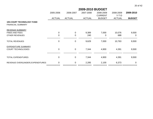|                                                         |                  | 2009-2010 BUDGET |               |                             |                      |                |  |  |
|---------------------------------------------------------|------------------|------------------|---------------|-----------------------------|----------------------|----------------|--|--|
|                                                         | 2005-2006        | 2006-2007        | 2007-2008     | 2008-2009<br><b>CURRENT</b> | 2008-2009<br>$Y-T-D$ | 2009-2010      |  |  |
|                                                         | <b>ACTUAL</b>    | <b>ACTUAL</b>    | <b>ACTUAL</b> | <b>BUDGET</b>               | <b>ACTUAL</b>        | <b>BUDGET</b>  |  |  |
| <b>105-COURT TECHNOLOGY FUND</b><br>FINANCIAL SUMMARY   |                  |                  |               |                             |                      |                |  |  |
| REVENUE SUMMARY                                         |                  |                  |               |                             |                      |                |  |  |
| <b>FINES AND FEES</b>                                   | 0                | 0                | 9,389         | 7,000                       | 10,076               | 9,500          |  |  |
| OTHER REVENUES                                          | $\boldsymbol{0}$ | 0                | 240           | 0                           | 688                  | 0              |  |  |
| <b>TOTAL REVENUES</b>                                   | $\mathbf 0$      | 0                | 9,629         | 7,000                       | 10,763               | 9,500          |  |  |
| <b>EXPENDITURE SUMMARY</b><br><b>COURT TECHNOLOGIES</b> | 0                | 0                | 7,344         | 4,900                       | 4,391                | 9,500          |  |  |
| <b>TOTAL EXPENDITURES</b>                               | 0                | 0                | 7,344         | 4,900                       | 4,391                | 9,500          |  |  |
| REVENUE OVER/(UNDER) EXPENDITURES                       | 0                | 0                | 2,285         | 2,100                       | 6,373                | $\overline{0}$ |  |  |
|                                                         |                  |                  |               |                             |                      |                |  |  |

=========== =========== =========== =========== =======================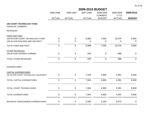|                                                              | 2009-2010 BUDGET |                  |               |                |               |                  |  |  |
|--------------------------------------------------------------|------------------|------------------|---------------|----------------|---------------|------------------|--|--|
|                                                              | 2005-2006        | 2006-2007        | 2007-2008     | 2008-2009      | 2008-2009     | 2009-2010        |  |  |
|                                                              |                  |                  |               | <b>CURRENT</b> | $Y-T-D$       |                  |  |  |
|                                                              | <b>ACTUAL</b>    | <b>ACTUAL</b>    | <b>ACTUAL</b> | <b>BUDGET</b>  | <b>ACTUAL</b> | <b>BUDGET</b>    |  |  |
| <b>105-COURT TECHNOLOGY FUND</b><br><b>FINANCIAL SUMMARY</b> |                  |                  |               |                |               |                  |  |  |
| <b>REVENUES</b>                                              |                  |                  |               |                |               |                  |  |  |
| <b>FINES AND FEES</b>                                        |                  |                  |               |                |               |                  |  |  |
| 105-00-4230 COURT TECHNOLOGY FUND                            | 0                | $\pmb{0}$        | 9,389         | 7,000          | 10,076        | 9,500            |  |  |
| 105-00-4235 BUILDING AND SECURITY                            | 0                | $\mathbf 0$      | $\mathbf 0$   | $\mathbf 0$    | $\mathbf 0$   | $\overline{0}$   |  |  |
| <b>TOTAL FINES AND FEES</b>                                  | $\mathbf 0$      | $\mathbf 0$      | 9,389         | 7,000          | 10,076        | 9,500            |  |  |
| <b>OTHER REVENUES</b>                                        |                  |                  |               |                |               |                  |  |  |
| 105-00-4435 INTEREST EARNED                                  | $\mathsf 0$      | $\mathbf 0$      | 240           | $\mathbf 0$    | 688           | $\mathbf 0$      |  |  |
| TOTAL OTHER REVENUES                                         | $\pmb{0}$        | $\mathbf 0$      | 240           | $\pmb{0}$      | 688           | $\boldsymbol{0}$ |  |  |
| <b>EXPENDITURES</b>                                          |                  |                  |               |                |               |                  |  |  |
| <b>CAPITAL EXPENDITURES</b>                                  |                  |                  |               |                |               |                  |  |  |
| 105-30-5705 COURT TECHNOLOGY EQUIPMENT                       | 0                | $\boldsymbol{0}$ | 7,344         | 4,900          | 4,391         | 9,500            |  |  |
| TOTAL CAPITAL EXPENDITURES                                   | $\mathsf 0$      | $\boldsymbol{0}$ | 7,344         | 4,900          | 4,391         | 9,500            |  |  |
| TOTAL COURT TECHNOLOGIES                                     | 0                | $\pmb{0}$        | 7,344         | 4,900          | 4,391         | 9,500            |  |  |
| <b>TOTAL EXPENDITURES</b>                                    | 0                | $\mathbf 0$      | 7,344         | 4,900          | 4,391         | 9,500            |  |  |
| REVENUE OVER/(UNDER) EXPENDITURES                            | 0                | $\boldsymbol{0}$ | 2,285         | 2,100          | 6,373         | $\pmb{0}$        |  |  |

=========== =========== =========== =========== =========== ============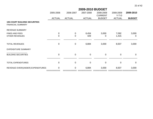|                                                                  | 2009-2010 BUDGET |               |               |                |                |               |  |
|------------------------------------------------------------------|------------------|---------------|---------------|----------------|----------------|---------------|--|
|                                                                  | 2005-2006        | 2006-2007     | 2007-2008     | 2008-2009      | 2008-2009      | 2009-2010     |  |
|                                                                  |                  |               |               | <b>CURRENT</b> | $Y-T-D$        |               |  |
|                                                                  | <b>ACTUAL</b>    | <b>ACTUAL</b> | <b>ACTUAL</b> | <b>BUDGET</b>  | <b>ACTUAL</b>  | <b>BUDGET</b> |  |
| <b>106-COURT BUILDING SECURITIES</b><br><b>FINANCIAL SUMMARY</b> |                  |               |               |                |                |               |  |
| <b>REVENUE SUMMARY</b>                                           |                  |               |               |                |                |               |  |
| <b>FINES AND FEES</b>                                            | $\mathbf 0$      | 0             | 6,454         | 3,000          | 7,092          | 3,000         |  |
| <b>OTHER REVENUES</b>                                            | $\mathbf 0$      | 0             | 429           | 0              | 1,415          | 0             |  |
|                                                                  |                  |               |               |                |                |               |  |
| <b>TOTAL REVENUES</b>                                            | $\mathbf 0$      | 0             | 6,884         | 3,000          | 8,507          | 3,000         |  |
| <b>EXPENDITURE SUMMARY</b>                                       |                  |               |               |                |                |               |  |
| <b>BUILDING SECURITIES</b>                                       | $\mathbf 0$      | 0             | $\pmb{0}$     | $\pmb{0}$      | $\mathbf 0$    | $\mathbf 0$   |  |
|                                                                  |                  |               |               |                |                |               |  |
| <b>TOTAL EXPENDITURES</b>                                        | $\mathbf 0$      | 0             | $\mathbf 0$   | $\pmb{0}$      | $\overline{0}$ | 0             |  |
| REVENUE OVER/(UNDER) EXPENDITURES                                | $\mathbf 0$      | 0             | 6,884         | 3,000          | 8,507          | 3,000         |  |

=========== =========== =========== =========== =======================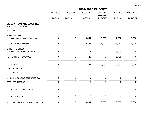|                | 2009-2010 BUDGET |                  |                             |                      |               |  |  |  |
|----------------|------------------|------------------|-----------------------------|----------------------|---------------|--|--|--|
| 2005-2006      | 2006-2007        | 2007-2008        | 2008-2009<br><b>CURRENT</b> | 2008-2009<br>$Y-T-D$ | 2009-2010     |  |  |  |
| <b>ACTUAL</b>  | <b>ACTUAL</b>    | <b>ACTUAL</b>    | <b>BUDGET</b>               | <b>ACTUAL</b>        | <b>BUDGET</b> |  |  |  |
|                |                  |                  |                             |                      |               |  |  |  |
|                |                  |                  |                             |                      |               |  |  |  |
|                |                  |                  |                             |                      | 3,000         |  |  |  |
|                |                  |                  |                             |                      |               |  |  |  |
| $\overline{0}$ | $\boldsymbol{0}$ | 6,454            | 3,000                       | 7,092                | 3,000         |  |  |  |
| $\mathbf 0$    | $\pmb{0}$        | 429              | $\mathbf 0$                 | 1,415                | $\pmb{0}$     |  |  |  |
| $\mathbf 0$    | $\mathbf 0$      | 429              | $\overline{0}$              | 1,415                | $\mathbf 0$   |  |  |  |
| $\mathbf 0$    | $\boldsymbol{0}$ | 6,884            | 3,000                       | 8,507                | 3,000         |  |  |  |
|                |                  |                  |                             |                      |               |  |  |  |
| $\mathbf 0$    | $\boldsymbol{0}$ | $\mathbf 0$      | $\mathbf 0$                 | $\pmb{0}$            | $\mathbf 0$   |  |  |  |
| $\mathbf 0$    | $\mathbf 0$      | $\mathbf 0$      | $\mathbf 0$                 | $\boldsymbol{0}$     | $\mathbf 0$   |  |  |  |
| $\pmb{0}$      | $\mathbf 0$      | $\pmb{0}$        | $\mathbf 0$                 | $\mathbf 0$          | $\mathbf 0$   |  |  |  |
| 0              | 0                | 0                | ∩                           | 0                    | 0             |  |  |  |
| 0              | $\boldsymbol{0}$ | 6,884            | 3,000                       | 8,507                | 3,000         |  |  |  |
|                | $\mathbf 0$      | $\boldsymbol{0}$ | 6,454                       | 3,000                | 7,092         |  |  |  |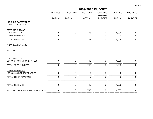|                                                          |                |                | 2009-2010 BUDGET |                             |                      |                |
|----------------------------------------------------------|----------------|----------------|------------------|-----------------------------|----------------------|----------------|
|                                                          | 2005-2006      | 2006-2007      | 2007-2008        | 2008-2009<br><b>CURRENT</b> | 2008-2009<br>$Y-T-D$ | 2009-2010      |
|                                                          | <b>ACTUAL</b>  | <b>ACTUAL</b>  | <b>ACTUAL</b>    | <b>BUDGET</b>               | <b>ACTUAL</b>        | <b>BUDGET</b>  |
| <b>107-CHILD SAFETY FEES</b><br><b>FINANCIAL SUMMARY</b> |                |                |                  |                             |                      |                |
| REVENUE SUMMARY                                          |                |                |                  |                             |                      |                |
| <b>FINES AND FEES</b>                                    | 0              | 0              | 743              | $\mathbf 0$                 | 4,005                | $\overline{0}$ |
| <b>OTHER REVENUES</b>                                    | 0              | 0              | 0                | 0                           | 0                    | $\mathbf 0$    |
| <b>TOTAL REVENUES</b>                                    | $\mathbf 0$    | 0              | 743              | $\pmb{0}$                   | 4,005                | $\overline{0}$ |
| <b>FINANCIAL SUMMARY</b>                                 |                |                |                  |                             |                      |                |
| <b>REVENUES</b>                                          |                |                |                  |                             |                      |                |
| FINES AND FEES                                           |                |                |                  |                             |                      |                |
| 107-00-4240 CHILD SAFETY FEES                            | 0              | $\mathbf 0$    | 743              | $\mathbf 0$                 | 4,005                | $\overline{0}$ |
| TOTAL FINES AND FEES                                     | $\overline{0}$ | $\overline{0}$ | 743              | $\mathbf 0$                 | 4,005                | $\overline{0}$ |
| OTHER REVENUES                                           |                |                |                  |                             |                      |                |
| 107-00-4435 INTEREST EARNED                              | 0              | 0              | $\mathbf 0$      | $\mathbf 0$                 | $\mathbf 0$          | $\mathbf 0$    |
| TOTAL OTHER REVENUES                                     | $\overline{0}$ | $\overline{0}$ | $\overline{0}$   | $\mathbf 0$                 | $\overline{0}$       | $\overline{0}$ |
| <b>TOTAL REVENUES</b>                                    | 0              | 0              | 743              | $\mathbf 0$                 | 4,005                | $\overline{0}$ |
|                                                          |                |                |                  |                             |                      |                |
| REVENUE OVER/(UNDER) EXPENDITURES                        | 0<br>======    | 0              | 743              | $\mathbf 0$                 | 4,005                | $\mathbf 0$    |
|                                                          |                |                |                  |                             | =========== ====     |                |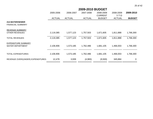|                                                       | 2005-2006<br><b>ACTUAL</b> | 2006-2007<br><b>ACTUAL</b> | 2007-2008<br><b>ACTUAL</b> | 2008-2009<br><b>CURRENT</b><br><b>BUDGET</b> | 2008-2009<br>$Y-T-D$<br><b>ACTUAL</b> | 2009-2010<br><b>BUDGET</b> |
|-------------------------------------------------------|----------------------------|----------------------------|----------------------------|----------------------------------------------|---------------------------------------|----------------------------|
| 212-WATER/SEWER<br><b>FINANCIAL SUMMARY</b>           |                            |                            |                            |                                              |                                       |                            |
| <b>REVENUE SUMMARY</b><br><b>OTHER REVENUES</b>       | 2,119,385                  | 1,577,123                  | 1,757,503                  | 1,671,605                                    | 1,811,888                             | 1,766,300                  |
| <b>TOTAL REVENUES</b>                                 | 2,119,385                  | 1,577,123                  | 1,757,503                  | 1,671,605                                    | 1,811,888                             | 1,766,300                  |
| <b>EXPENDITURE SUMMARY</b><br><b>WATER DEPARTMENT</b> | 2,106,906                  | 1,573,185                  | 1,762,486                  | 1,681,105                                    | 1,466,003                             | 1,766,300                  |
| <b>TOTAL EXPENDITURES</b>                             | 2,106,906                  | 1,573,185                  | 1,762,486                  | 1,681,105                                    | 1,466,003                             | 1,766,300                  |
| REVENUE OVER/(UNDER) EXPENDITURES                     | 12,478                     | 3,939                      | (4,983)                    | (9,500)                                      | 345,884                               | $\Omega$                   |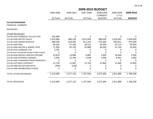|                                       |               |               | 2009-2010 BUDGET |                             |                      |               |  |  |  |  |  |
|---------------------------------------|---------------|---------------|------------------|-----------------------------|----------------------|---------------|--|--|--|--|--|
|                                       | 2005-2006     | 2006-2007     | 2007-2008        | 2008-2009<br><b>CURRENT</b> | 2008-2009<br>$Y-T-D$ | 2009-2010     |  |  |  |  |  |
|                                       | <b>ACTUAL</b> | <b>ACTUAL</b> | <b>ACTUAL</b>    | <b>BUDGET</b>               | <b>ACTUAL</b>        | <b>BUDGET</b> |  |  |  |  |  |
| 212-WATER/SEWER                       |               |               |                  |                             |                      |               |  |  |  |  |  |
| <b>FINANCIAL SUMMARY</b>              |               |               |                  |                             |                      |               |  |  |  |  |  |
| <b>REVENUES</b>                       |               |               |                  |                             |                      |               |  |  |  |  |  |
| <b>OTHER REVENUES</b>                 |               |               |                  |                             |                      |               |  |  |  |  |  |
| 212-00-4310 GARBAGE COLLECTION        | 442,989       | 0             | 0                | 0                           | 0                    |               |  |  |  |  |  |
| 212-00-4330 WATER SALES               | 1,025,990     | 906,130       | 1,021,935        | 980,000                     | 1,015,691            | 1,000,000     |  |  |  |  |  |
| 212-00-4340 SEWER SERVICE             | 499,536       | 523,391       | 611,244          | 575,305                     | 693,011              | 675,000       |  |  |  |  |  |
| 212-00-4350 EMS                       | 49,191        | 47,166        | 48,212           | 50,000                      | 44,714               | 50,000        |  |  |  |  |  |
| 212-00-4380 WATER & SEWER TAPS        | 71,300        | 62,150        | 52,888           | 50,000                      | 21,700               | 25,000        |  |  |  |  |  |
| 212-00-4410 GARBAGE TAX               | 3,781         |               |                  |                             |                      | O             |  |  |  |  |  |
| 212-00-4420 TRANSFER FROM OTHER FUNDS | 0             |               |                  |                             |                      |               |  |  |  |  |  |
| 212-00-4430 MISCELLANEOUS INCOME      | 10,819        | 13,985        | 5,882            | 2,500                       | 16,646               | 2,500         |  |  |  |  |  |
| 212-00-4435 INTEREST EARNED           | 3,355         | 12,763        | 4,549            | 1,000                       | 8,461                | 1,000         |  |  |  |  |  |
| 212-00-4465 TRANSFER FROM RESERVES    | 0             | 0             | 0                | 0                           | 0                    | 0             |  |  |  |  |  |
| 212-00-4475 EMS CONTRACT              | 12,728        | 11,667        | 12,793           | 12,800                      | 11,665               | 12,800        |  |  |  |  |  |
| 212-00-4480 WATER DEPOSITS            | (304)         | (128)         | 0                | $\Omega$                    | 0                    | 0             |  |  |  |  |  |
| 212-00-4485 REIMBURSED FUNDS          | 0             | 0             | O                |                             | 0                    | 0             |  |  |  |  |  |
| <b>TOTAL OTHER REVENUES</b>           | 2,119,385     | 1,577,123     | 1,757,503        | 1,671,605                   | 1,811,888            | 1,766,300     |  |  |  |  |  |
| <b>TOTAL REVENUES</b>                 | 2,119,385     | 1,577,123     | 1,757,503        | 1,671,605                   | 1,811,888            | 1,766,300     |  |  |  |  |  |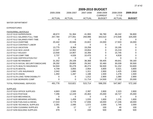|                                      | 2009-2010 BUDGET |               |               |                |               |               |  |  |  |
|--------------------------------------|------------------|---------------|---------------|----------------|---------------|---------------|--|--|--|
|                                      | 2005-2006        | 2006-2007     | 2007-2008     | 2008-2009      | 2008-2009     | 2009-2010     |  |  |  |
|                                      |                  |               |               | <b>CURRENT</b> | $Y-T-D$       |               |  |  |  |
|                                      | <b>ACTUAL</b>    | <b>ACTUAL</b> | <b>ACTUAL</b> | <b>BUDGET</b>  | <b>ACTUAL</b> | <b>BUDGET</b> |  |  |  |
| <b>WATER DEPARTMENT</b>              |                  |               |               |                |               |               |  |  |  |
| <b>EXPENDITURES</b>                  |                  |               |               |                |               |               |  |  |  |
| PERSONNEL SERVICES                   |                  |               |               |                |               |               |  |  |  |
| 212-07-5110 SUPERVISION              | 48,672           | 51,364        | 41,993        | 56,780         | 46,242        | 56,800        |  |  |  |
| 212-07-5111 SALARIES FULL-TIME       | 257,784          | 277,051       | 259,996       | 343,510        | 273,938       | 325,000       |  |  |  |
| 212-07-5112 SALARIES PART-TIME       | 0                | 0             | 0             | 0              | 0             | 0             |  |  |  |
| 212-07-5113 OVERTIME                 | 20,442           | 20,946        | 15,822        | 24,000         | 17,503        | 16,000        |  |  |  |
| 212-07-5114 CONTRACT LABOR           | 0                | 0             | 0             | 0              | 0             | 0             |  |  |  |
| 212-07-5115 VACATION                 | 13,775           | 8,364         | 19,258        | 0              | 19,195        | 0             |  |  |  |
| 212-07-5116 SICK LEAVE               | 12,047           | 12,952        | 19,654        | 0              | 15,219        | 0             |  |  |  |
| 212-07-5117 HOLIDAY                  | 13,930           | 14,907        | 16,356        | 0              | 15,745        | 0             |  |  |  |
| 212-07-5118 COMP TIME                | 2,737            | 4,026         | 10,470        | 0              | 4,818         | 0             |  |  |  |
| 212-07-5155 CERTIFICATION PAY        | 0                | 0             | 0             | 0              | 0             | 0             |  |  |  |
| 212-07-5160 RETIREMENT               | 31,352           | 29,108        | 38,368        | 59,405         | 49,641        | 59,160        |  |  |  |
| 212-07-5170 SOCIAL SECURITY/MEDICARE | 28,292           | 29,805        | 29,342        | 32,460         | 30,039        | 30,500        |  |  |  |
| 212-07-5175 HEALTH INSURANCE         | 54,504           | 55,278        | 46,274        | 56,500         | 51,152        | 53,600        |  |  |  |
| 212-07-5176 DENTAL                   | 4,749            | 3,855         | 2,954         | 3,800          | 3,521         | 3,800         |  |  |  |
| 212-07-5177 LIFE INSURANCE           | 2,042            | 1,880         | 1,311         | 2,900          | 1,425         | 2,900         |  |  |  |
| 212-07-5178 VISION                   | 1,450            | 1,287         | 1,188         | 1,500          | 1,278         | 1,500         |  |  |  |
| 212-07-5179 LONG TERM DISABILITY     | 0                | 0             | 1,012         | 2,900          | 1,080         | 2,900         |  |  |  |
| 212-07-5180 WORKERS COMP             | 0                | 0             | 11,714        | 14,500         | 17,190        | 20,000        |  |  |  |
| <b>TOTAL PERSONNEL SERVICES</b>      | 491,776          | 510,821       | 515,714       | 598,255        | 547,987       | 572,160       |  |  |  |
| <b>SUPPLIES</b>                      |                  |               |               |                |               |               |  |  |  |
| 212-07-5210 OFFICE SUPPLIES          | 4,663            | 2,565         | 2,397         | 2,800          | 2,323         | 2,800         |  |  |  |
| 212-07-5215 POSTAGE                  | 7,296            | 12,229        | 20,463        | 25,000         | 18,727        | 25,000        |  |  |  |
| 212-07-5220 MECHANICAL               | 0                | 0             | 0             | 0              | 0             | 0             |  |  |  |
| 212-07-5225 WEARING APPAREL          | 949              | 1,459         | 1,033         | 1,600          | 1,231         | 1,600         |  |  |  |
| 212-07-5230 FUEL/GAS & DIESEL        | 17,010           | 6,778         | 17,836        | 18,000         | 17,246        | 18,000        |  |  |  |
| 212-07-5235 TECHNICAL SUPPLIES       | 2,391            | 2,095         | 1,572         | 2,000          | 1,745         | 2,000         |  |  |  |
| 212-07-5250 CLEANING SUPPLIES        | 35               | 17            | 17            | 100            | 40            | 100           |  |  |  |
| 212-07-5255 BUILDING SUPPLIES        | 379              | 0             | 158           | 500            | 198           | 500           |  |  |  |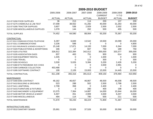|                                        | 2009-2010 BUDGET |               |               |                |               |               |  |  |
|----------------------------------------|------------------|---------------|---------------|----------------|---------------|---------------|--|--|
|                                        | 2005-2006        | 2006-2007     | 2007-2008     | 2008-2009      | 2008-2009     | 2009-2010     |  |  |
|                                        |                  |               |               | <b>CURRENT</b> | $Y-T-D$       |               |  |  |
|                                        | <b>ACTUAL</b>    | <b>ACTUAL</b> | <b>ACTUAL</b> | <b>BUDGET</b>  | <b>ACTUAL</b> | <b>BUDGET</b> |  |  |
| 212-07-5260 FOOD SUPPLIES              | 36               | 213           | 114           | 200            | 137           | 200           |  |  |
| 212-07-5275 CHEMICALS & LAB TEST       | 37,008           | 38,552        | 41,282        | 40,000         | 31,263        | 40,000        |  |  |
| 212-07-5285 TRACTOR SUPPLIES           | 3,607            | 538           | 2,929         | 2,500          | 2,002         | 2,500         |  |  |
| 212-07-5290 MISCELLANEOUS SUPPLIES     | 1,078            | 144           | 262           | 500            | 455           | 500           |  |  |
| <b>TOTAL SUPPLIES</b>                  | 74,452           | 64,590        | 88,064        | 93,200         | 75,367        | 93,200        |  |  |
| CONTRACTUAL                            |                  |               |               |                |               |               |  |  |
| 212-07-5310 COMMUNICATIONS-TELEPHONE   | 6,287            | 6,849         | 13,542        | 19,500         | 19,099        | 20,000        |  |  |
| 212-07-5311 COMMUNICATIONS             | 3,106            | 598           | $\Omega$      | $\Omega$       | $\Omega$      | 4,800         |  |  |
| 212-07-5315 INSURANCE & BONDS-CASUALTY | 15,148           | 17,871        | 14,193        | 7,000          | 6,344         | 7,000         |  |  |
| 212-07-5320 PUBLICATIONS & ADVERTISING | 166              | 17            | 607           | 750            | 189           | 750           |  |  |
| 212-07-5325 UTILITIES                  | 326,912          | 322,384       | 342,012       | 355,000        | 333,377       | 355,000       |  |  |
| 212-07-5335 ASSOCIATION DUES           | 837              | 463           | 751           | 900            | 614           | 900           |  |  |
| 212-07-5340 EQUIPMENT RENTAL           | 1,545            | 0             | 0             | 1,500          | 0             | 1,500         |  |  |
| 212-07-5350 TRAVEL                     | $\Omega$         | 0             | 121           | 300            | 0             | 300           |  |  |
| 212-07-5355 SCHOOLS                    | 3,530            | 5,026         | 5,384         | 5,200          | 2,426         | 5,200         |  |  |
| 212-07-5360 ETS FEES/BANK SVC CHGS     | 0                | 0             | 0             | 3,500          | 2,991         | 0             |  |  |
| 212-07-5390 GARBAGE COLLECTION         | 453,468          | $\Omega$      | 0             | $\overline{0}$ | 0             | $\Omega$      |  |  |
| 212-07-5395 SOFTWARE CONTRACT          | 199              | 2,109         | 15,003        | 15,500         | 14,445        | 15,500        |  |  |
| TOTAL CONTRACTUAL                      | 811,198          | 355,316       | 391,613       | 409,150        | 379,484       | 410,950       |  |  |
| <b>MAINTENANCE</b>                     |                  |               |               |                |               |               |  |  |
| 212-07-5400 EMS CONTRACT               | 48,162           | 46,657        | 46,867        | 48,500         | 46,008        | 48,500        |  |  |
| 212-07-5410 BUILDING & GROUNDS         | 523              | 288           | 502           | 2,500          | 2,798         | 2,500         |  |  |
| 212-07-5411 JANITORIAL                 | 2,708            | 358           | $\mathbf 0$   | 2,400          | 0             | 2,400         |  |  |
| 212-07-5415 FURNITURE & FIXTURES       | $\overline{0}$   | 0             | 280           | 400            | 198           | 400           |  |  |
| 212-07-5420 MACHINERY & EQUIPMENT      | 13,375           | 7,364         | 14,887        | 14,000         | 15,944        | 16,000        |  |  |
| 212-07-5430 MOTOR VEHICLE & MAINT      | 6,407            | 451           | 2,909         | 3,500          | 6,207         | 3,500         |  |  |
| 212-07-5460 MISCELLANEOUS              | 494              | 114           | 780           | 500            | 211           | 500           |  |  |
| <b>TOTAL MAINTENANCE</b>               | 71,670           | 55,233        | 66,224        | 71,800         | 71,367        | 73,800        |  |  |

## INFRASTRUCTURE-MISC

|  | 212-07-5510 SANITARY SEWER | -0.691 | 23,926 | 37,526 | 30,000 | 30.596 | 30.000 |
|--|----------------------------|--------|--------|--------|--------|--------|--------|
|--|----------------------------|--------|--------|--------|--------|--------|--------|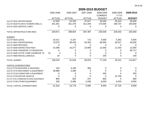| г | Ωt | . <b>.</b> |
|---|----|------------|
|---|----|------------|

|                                      | 2005-2006     | 2006-2007     | 2007-2008     | 2008-2009<br><b>CURRENT</b> | 2008-2009<br>$Y-T-D$ | 2009-2010     |
|--------------------------------------|---------------|---------------|---------------|-----------------------------|----------------------|---------------|
|                                      | <b>ACTUAL</b> | <b>ACTUAL</b> | <b>ACTUAL</b> | <b>BUDGET</b>               | <b>ACTUAL</b>        | <b>BUDGET</b> |
| 212-07-5515 WATER MAINS              | 12,929        | 24,203        | 37,617        | 30,000                      | 26,310               | 30,000        |
| 212-07-5520 PLANTS-TOWERS-WELLS      | 201,351       | 251,476       | 312,344       | 175,000                     | 169,737              | 100,000       |
| 212-07-5525 SERVICE LINES            |               | 0             |               |                             | U                    |               |
| TOTAL INFRASTRUCTURE-MISC            | 239,971       | 299,604       | 387,487       | 235,000                     | 226,643              | 160,000       |
| <b>SUNDRY</b>                        |               |               |               |                             |                      |               |
| 212-07-5620 LEGAL                    | 19,311        | 5,107         | 713           | 5,000                       | 5,362                | 5,000         |
| 212-07-5621 PROFESSIONAL             | 73,075        | 36,429        | 54,302        | 60,000                      | 28,317               | 40,000        |
| 212-07-5625 REFUNDS                  | 0             | 0             | 0             | 0                           | 0                    | $\left($      |
| 212-07-5630 INSPECTION FEES          | 10,398        | 10,277        | 10,959        | 12,000                      | 11,543               | 12,000        |
| 212-07-5635 TRANSFER TO RESERVES     | <sup>0</sup>  | 0             |               |                             | 0                    | 56,717        |
| 212-07-5640 STATE COMP (GARBAGE TA   | X)<br>3       | $\Omega$      |               |                             |                      | $\Omega$      |
| 212-07-5660 MISCELLANEOUS            | 19            |               | 0             | 100                         | 0                    | 100           |
| <b>TOTAL SUNDRY</b>                  | 139,319       | 51,816        | 65,975        | 77,100                      | 45,221               | 113,817       |
| <b>CAPITAL EXPENDITURES</b>          |               |               |               |                             |                      |               |
| 212-07-5710 BUILDING & GROUNDS       | 152           | 4,195         | 482           | 0                           | 0                    | $\Omega$      |
| 212-07-5715 MACHINERY & EQUIPMENT    | 39,968        | 5,296         | $\Omega$      |                             |                      | $\Omega$      |
| 212-07-5718 FURNITURE & EQUIPMENT    | 0             | 0             | 0             | 200                         |                      | 200           |
| 212-07-5720 MOTOR VEHICLE            |               |               |               | 0                           | 31,705               | $\Omega$      |
| 212-07-5725 COMMUNICATIONS EQUIPMENT | 864           | 920           | 247           | 800                         | 0                    | 800           |
| 212-07-5730 OTHER EQUIPMENT          | 326           | 6,366         | 4,336         | 8,000                       | 6,020                | 8,000         |
| TOTAL CAPITAL EXPENDITURES           | 41,310        | 16,776        | 5,065         | 9,000                       | 37,725               | 9,000         |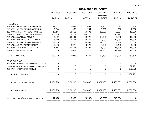|                                      | 2005-2006             | 2006-2007      | 2007-2008     | 2008-2009<br><b>CURRENT</b> | 2008-2009<br>$Y-T-D$ | 2009-2010     |
|--------------------------------------|-----------------------|----------------|---------------|-----------------------------|----------------------|---------------|
|                                      | <b>ACTUAL</b>         | <b>ACTUAL</b>  | <b>ACTUAL</b> | <b>BUDGET</b>               | <b>ACTUAL</b>        | <b>BUDGET</b> |
| <b>TRANSFERS</b>                     |                       |                |               |                             |                      |               |
| 212-07-5910 BUILDING & EQUIPMENT     | 18,671                | 10,638         | 692           | 1,800                       | 80                   | 1,800         |
| 212-07-5920 SERVICE LINES (SEWER)    | 3,944                 | 1,938          | 1,234         | 3,000                       | 336                  | 2,000         |
| 212-07-5925 PLANTS-TOWERS-WELLS      | 10,144                | 18,716         | 10,391        | 15,000                      | 2,987                | 15,000        |
| 212-07-5930 MAINS (WATER & SEWER)    | 101,364               | 76,277         | 68,778        | 50,000                      | 15,921               | 40,000        |
| 212-07-5935 WELLS & PUMPS            | 9,361                 | 30,101         | 28,725        | 10,000                      | 6,542                | 10,000        |
| 212-07-5940 METERS METER BOXES       | 25,489                | 19,797         | 23,742        | 22,000                      | 17,280               | 15,000        |
| 212-07-5945 SERVICE LINES (WATER)    | 38,808                | 27,226         | 56,992        | 42,000                      | 7,439                | 30,000        |
| 212-07-5950 SERVICE MANHOLES         | 5,286                 | 3,278          | 9,770         | 6,000                       | 2,488                | 6,000         |
| 212-07-5955 HYDRANTS & VALVES        | 24,141                | 20,451         | 29,291        | 25,000                      | 16,408               | 18,000        |
| 212-07-5956 EMS BUILDING             | 0                     | 10,607         | 12,728        | 12,800                      | 12,728               | 12,800        |
| <b>TOTAL TRANSFERS</b>               | 237,209               | 219,028        | 242,343       | 187,600                     | 82,209               | 150,600       |
| <b>BOND EXPENSE</b>                  |                       |                |               |                             |                      |               |
| 212-07-6050 TRANSFER TO OTHER FUNDS  | 0                     | 0              | 0             | 0                           | 0                    | $\Omega$      |
| 212-07-6055 TRANSFER TO GENERAL FUND | 0                     | 0              | 0             | 0                           | $\mathbf 0$          | 82,773        |
| 212-07-6065 TRANSFER TO I & S        | 0                     | $\overline{0}$ | $\mathbf 0$   | 0                           | $\overline{0}$       | 100,000       |
| <b>TOTAL BOND EXPENSE</b>            | $\overline{0}$        | $\overline{0}$ | $\mathbf 0$   | $\mathbf 0$                 | $\mathbf 0$          | 182,773       |
| TOTAL WATER DEPARTMENT               | 2,106,906             | 1,573,185      | 1,762,486     | 1,681,105                   | 1,466,003            | 1,766,300     |
| <b>TOTAL EXPENDITURES</b>            | 2,106,906             | 1,573,185      | 1,762,486     | 1,681,105                   | 1,466,003            | 1,766,300     |
| REVENUE OVER/(UNDER) EXPENDITURES    | 12,478<br>=========== | 3,939          | (4,983)       | (9,500)                     | 345,884              | $\mathbf 0$   |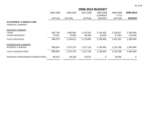| 2005-2006     | 2006-2007     | 2007-2008     | 2008-2009<br><b>CURRENT</b> | 2008-2009<br>$Y-T-D$ | 2009-2010      |
|---------------|---------------|---------------|-----------------------------|----------------------|----------------|
| <b>ACTUAL</b> | <b>ACTUAL</b> | <b>ACTUAL</b> | <b>BUDGET</b>               | <b>ACTUAL</b>        | <b>BUDGET</b>  |
|               |               |               |                             |                      |                |
|               |               |               |                             |                      |                |
|               |               |               |                             |                      |                |
| 892,748       | 1,060,945     | 1,132,316     | 1,132,462                   | 1,126,817            | 1,283,494      |
| 76,331        | 75,666        | 38,488        | 18,000                      | 37,364               | 110,000        |
| 969,079       | 1,136,611     | 1,170,804     | 1,150,462                   | 1,164,181            | 1,393,494      |
|               |               |               |                             |                      |                |
| 880,604       | 1,072,374     | 1,127,133     | 1,150,462                   | 1,134,788            | 1,393,494      |
| 880,604       | 1,072,374     | 1,127,133     | 1,150,462                   | 1,134,788            | 1,393,494      |
| 88,476        | 64,238        | 43,672        | $\pmb{0}$                   | 29,394               | $\overline{0}$ |
|               |               |               |                             |                      |                |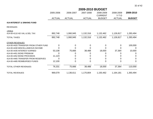|                                        | 2005-2006     | 2006-2007     | 2007-2008     | 2008-2009<br><b>CURRENT</b> | 2008-2009<br>$Y-T-D$ | 2009-2010     |
|----------------------------------------|---------------|---------------|---------------|-----------------------------|----------------------|---------------|
|                                        | <b>ACTUAL</b> | <b>ACTUAL</b> | <b>ACTUAL</b> | <b>BUDGET</b>               | <b>ACTUAL</b>        | <b>BUDGET</b> |
| <b>414-INTEREST &amp; SINKING FUND</b> |               |               |               |                             |                      |               |
| <b>REVENUES</b>                        |               |               |               |                             |                      |               |
| <b>IAXES</b>                           |               |               |               |                             |                      |               |
| 414-00-4110 AD VAL & DEL TAX           | 892,748       | 1,060,945     | 1,132,316     | 1,132,462                   | 1,126,817            | 1,283,494     |
| <b>TOTAL TAXES</b>                     | 892,748       | 1,060,945     | 1,132,316     | 1,132,462                   | 1,126,817            | 1,283,494     |
| <b>OTHER REVENUES</b>                  |               |               |               |                             |                      |               |
| 414-00-4420 TRANSFER FROM OTHER FUND   | 0             | $\Omega$      |               | 0                           | 0                    | 100,000       |
| 414-00-4430 MISCELLANEOUS INCOME       |               |               |               |                             |                      | $\Omega$      |
| 414-00-4435 INTEREST EARNED            | 53,108        | 75,666        | 38,488        | 18,000                      | 37,364               | 10,000        |
| 414-00-4451 BOND PREMIUM               |               | 0             |               |                             |                      | $\Omega$      |
| 414-00-4452 BOND PROCEEDS              | 11,123        |               |               |                             |                      | 0             |
| 414-00-4465 TRANSFER FROM RESERVES     | Ω             |               |               |                             |                      | 0             |
| 414-00-4485 REIMBURSED FUNDS           | 12,100        | 0             | 0             | 0                           | 0                    | 0             |
| <b>TOTAL OTHER REVENUES</b>            | 76,331        | 75,666        | 38,488        | 18,000                      | 37,364               | 110,000       |
| <b>TOTAL REVENUES</b>                  | 969,079       | 1,136,611     | 1,170,804     | 1,150,462                   | 1,164,181            | 1,393,494     |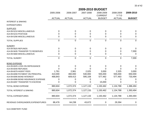# **2009-2010 BUDGET**

|                                    | 2005-2006 | 2006-2007<br><b>ACTUAL</b><br><b>ACTUAL</b> | 2007-2008<br><b>ACTUAL</b> | 2008-2009<br><b>CURRENT</b><br><b>BUDGET</b> | 2008-2009<br>$Y-T-D$<br><b>ACTUAL</b> | 2009-2010<br><b>BUDGET</b> |
|------------------------------------|-----------|---------------------------------------------|----------------------------|----------------------------------------------|---------------------------------------|----------------------------|
|                                    |           |                                             |                            |                                              |                                       |                            |
| <b>INTEREST &amp; SINKING</b>      |           |                                             |                            |                                              |                                       |                            |
| <b>EXPENDITURES</b>                |           |                                             |                            |                                              |                                       |                            |
| <b>SUPPLIES</b>                    |           |                                             |                            |                                              |                                       |                            |
| 414-09-5210 MISCELLANEOUS          | 0         | 0                                           | 0                          | 0                                            | 0                                     | 0                          |
| 414-09-5215 POSTAGE                | 0         | 0                                           | $\Omega$                   | 0                                            | $\Omega$                              | $\mathbf 0$                |
| 414-09-5290 MISCELLANEOUS          | 0         | 0                                           | 0                          | 0                                            | 0                                     | $\mathbf 0$                |
| <b>TOTAL SUPPLIES</b>              | 0         | $\overline{0}$                              | $\mathbf 0$                | $\overline{0}$                               | 0                                     | $\mathbf{0}$               |
| <b>SUNDRY</b>                      |           |                                             |                            |                                              |                                       |                            |
| 414-09-5625 REFUNDS                | 0         | 0                                           | 0                          | 0                                            | 0                                     |                            |
| 414-09-5635 TRANSFER TO RESERVES   | 0         | 0                                           | 0                          | 0                                            | 0                                     | 7,000                      |
| 414-09-5660 MISCELLANEOUS          | 0         | 0                                           | 0                          | 0                                            | 0                                     | $\mathbf 0$                |
| <b>TOTAL SUNDRY</b>                | 0         | $\overline{0}$                              | $\overline{0}$             | $\mathbf 0$                                  | 0                                     | 7,000                      |
| <b>BOND EXPENSE</b>                |           |                                             |                            |                                              |                                       |                            |
| 414-09-6025 LOSS ON DEFEASANCE     | 0         | 0                                           | 0                          | 0                                            | 0                                     | $\Omega$                   |
| 414-09-6040 REFUNDS                |           | $\Omega$                                    |                            |                                              | U                                     | 0                          |
| 414-09-6079 AGENT FEES             | 1,761     | 2,961                                       | 2,025                      | 3,000                                        | 2,325                                 | 3,000                      |
| 414-09-6090 PAYMENT ON PRINCIPAL   | 410,000   | 460,000                                     | 530,000                    | 555,000                                      | 555,000                               | 650,000                    |
| 414-09-6095 BOND INTEREST          | 468,843   | 609,413                                     | 595,108                    | 577,462                                      | 577,463                               | 733,494                    |
| 414-09-6096 BOND INSURANCE EXPENSE | 0         | 0                                           | 0                          | 0                                            | 0                                     | 0                          |
| 414-09-6097 TRANSFER TO ESCROW     | 0         | 0                                           | 0                          | 15,000                                       | 0                                     | 0                          |
| <b>TOTAL BOND EXPENSE</b>          | 880,604   | 1,072,374                                   | 1,127,133                  | 1,150,462                                    | 1,134,788                             | 1,386,494                  |
| TOTAL INTEREST & SINKING           | 880,604   | 1,072,374                                   | 1,127,133                  | 1,150,462                                    | 1,134,788                             | 1,393,494                  |
| <b>TOTAL EXPENDITURES</b>          | 880,604   | 1,072,374                                   | 1,127,133                  | 1,150,462                                    | 1,134,788                             | 1,393,494                  |
| REVENUE OVER/(UNDER) EXPENDITURES  | 88,476    | 64,238                                      | 43,672                     | $\mathbf 0$                                  | 29,394                                | 0                          |

513-CEMETERY FUND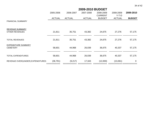|                                               | 2005-2006                | 2006-2007     | 2007-2008     | 2008-2009<br><b>CURRENT</b> | 2008-2009<br>$Y-T-D$ | 2009-2010      |
|-----------------------------------------------|--------------------------|---------------|---------------|-----------------------------|----------------------|----------------|
|                                               | <b>ACTUAL</b>            | <b>ACTUAL</b> | <b>ACTUAL</b> | <b>BUDGET</b>               | <b>ACTUAL</b>        | <b>BUDGET</b>  |
| <b>FINANCIAL SUMMARY</b>                      |                          |               |               |                             |                      |                |
| REVENUE SUMMARY                               |                          |               |               |                             |                      |                |
| <b>OTHER REVENUES</b>                         | 21,811                   | 35,751        | 43,382        | 24,675                      | 27,276               | 57,175         |
| <b>TOTAL REVENUES</b>                         | 21,811                   | 35,751        | 43,382        | 24,675                      | 27,276               | 57,175         |
| <b>EXPENDITURE SUMMARY</b><br><b>CEMETERY</b> | 58,601                   | 44,968        | 26,039        | 36,675                      | 40,337               | 57,175         |
| <b>TOTAL EXPENDITURES</b>                     | 58,601                   | 44,968        | 26,039        | 36,675                      | 40,337               | 57,175         |
| REVENUE OVER/(UNDER) EXPENDITURES             | (36, 791)<br>=========== | (9,217)       | 17,343        | (12,000)                    | (13,061)             | $\overline{0}$ |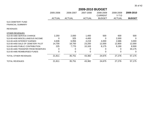|                                               | <b>2009-2010 BUDGET</b> |               |               |                             |                      |               |  |  |
|-----------------------------------------------|-------------------------|---------------|---------------|-----------------------------|----------------------|---------------|--|--|
|                                               | 2005-2006               | 2006-2007     | 2007-2008     | 2008-2009<br><b>CURRENT</b> | 2008-2009<br>$Y-T-D$ | 2009-2010     |  |  |
|                                               | <b>ACTUAL</b>           | <b>ACTUAL</b> | <b>ACTUAL</b> | <b>BUDGET</b>               | <b>ACTUAL</b>        | <b>BUDGET</b> |  |  |
| 513-CEMETERY FUND<br><b>FINANCIAL SUMMARY</b> |                         |               |               |                             |                      |               |  |  |
| <b>REVENUES</b>                               |                         |               |               |                             |                      |               |  |  |
| <b>OTHER REVENUES</b>                         |                         |               |               |                             |                      |               |  |  |
| 513-00-4360 SERVICE CHARGE                    | 2,250                   | 2,000         | 1,400         | 500                         | 600                  | 500           |  |  |
| 513-00-4430 MISCELLANEOUS INCOME              | 0                       | 325           | 4,400         | 0                           | 2,000                | 0             |  |  |
| 513-00-4435 INTEREST EARNED                   | 4,636                   | 6,956         | 4,219         | 4,000                       | 2,686                | 3,000         |  |  |
| 513-00-4450 SALE OF CEMETERY PLOT             | 14,700                  | 18,700        | 23,200        | 12,000                      | 12,800               | 12,000        |  |  |
| 513-00-4455 PUBLIC CONTRIBUTION               | 225                     | 7,770         | 10,163        | 8,175                       | 9,190                | 8,500         |  |  |
| 513-00-4465 TRANSFER FROM RESERVES            | 0                       | 0             |               | 0                           |                      | 33,175        |  |  |
| 513-00-4485 REIMBURSED FUNDS                  | 0                       | 0             | 0             | 0                           | 0                    | 0             |  |  |
| <b>TOTAL OTHER REVENUES</b>                   | 21,811                  | 35,751        | 43,382        | 24,675                      | 27,276               | 57,175        |  |  |
| <b>TOTAL REVENUES</b>                         | 21,811                  | 35,751        | 43,382        | 24,675                      | 27,276               | 57,175        |  |  |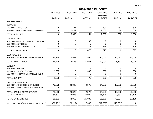|                                        | 2005-2006      | 2006-2007      | 2007-2008      | 2008-2009<br><b>CURRENT</b> | 2008-2009<br>$Y-T-D$ | 2009-2010      |
|----------------------------------------|----------------|----------------|----------------|-----------------------------|----------------------|----------------|
|                                        | <b>ACTUAL</b>  | <b>ACTUAL</b>  | <b>ACTUAL</b>  | <b>BUDGET</b>               | <b>ACTUAL</b>        | <b>BUDGET</b>  |
| <b>EXPENDITURES</b>                    |                |                |                |                             |                      |                |
| <b>SUPPLIES</b>                        |                |                |                |                             |                      |                |
| 513-08-5215 POSTAGE                    | 0              | 1,131          | 251            | 500                         | 261                  | 500            |
| 513-08-5290 MISCELLANEOUS SUPPLIES     | 0              | 2,459          | $\overline{0}$ | 1,000                       | 39                   | 1,000          |
| <b>TOTAL SUPPLIES</b>                  | $\overline{0}$ | 3,590          | 251            | 1,500                       | 300                  | 1,500          |
| CONTRACTUAL                            |                |                |                |                             |                      |                |
| 513-08-5320 PUBLICATIONS & ADVERTISING | 0              | 0              | 100            | 0                           | 0                    | $\mathbf{0}$   |
| 513-08-5325 UTILITIES                  | 0              | 0              | 0              | 0                           | 0                    | 0              |
| 513-08-5395 SOFTWARE CONTRACT          | 0              | $\mathbf 0$    | 375            | 375                         | 0                    | 375            |
| TOTAL CONTRACTUAL                      | $\mathbf 0$    | $\overline{0}$ | 475            | 375                         | $\overline{0}$       | 375            |
| <b>MAINTENANCE</b>                     |                |                |                |                             |                      |                |
| 513-08-5455 CEMETERY MAINTENANCE       | 16,739         | 16,553         | 21,965         | 20,000                      | 26,537               | 25,000         |
| <b>TOTAL MAINTENANCE</b>               | 16,739         | 16,553         | 21,965         | 20,000                      | 26,537               | 25,000         |
| <b>SUNDRY</b>                          |                |                |                |                             |                      |                |
| 513-08-5620 LEGAL                      | 0              | $\mathbf 0$    | 176            | 0                           | 0                    | $\overline{0}$ |
| 513-08-5621 PROFESSIONAL               | 1,555          | 0              | 300            | 300                         | 0                    | 300            |
| 513-08-5635 TRANSFER TO RESERVES       | $\Omega$       | 0              | $\Omega$       | 0                           | 0                    | $\Omega$       |
| <b>TOTAL SUNDRY</b>                    | 1,555          | $\mathbf 0$    | 476            | 300                         | $\mathbf 0$          | 300            |
| <b>CAPITAL EXPENDITURES</b>            |                |                |                |                             |                      |                |
| 513-08-5710 BUILDING & GROUNDS         | 40,308         | 24,825         | 2,872          | 14,500                      | 13,500               | 30,000         |
| 513-08-5718 FURNITURE & EQUIPMENT      | $\overline{0}$ | 0              | 0              | 0                           | 0                    | $\overline{0}$ |
| TOTAL CAPITAL EXPENDITURES             | 40,308         | 24,825         | 2,872          | 14,500                      | 13,500               | 30,000         |
| <b>TOTAL CEMETERY</b>                  | 58,601         | 44,968         | 26,039         | 36,675                      | 40,337               | 57,175         |
| <b>TOTAL EXPENDITURES</b>              | 58,601         | 44,968         | 26,039         | 36,675                      | 40,337               | 57,175         |
| REVENUE OVER/(UNDER) EXPENDITURES      | (36, 791)      | (9,217)        | 17,343         | (12,000)                    | (13,061)             | 0              |
|                                        |                |                |                |                             |                      |                |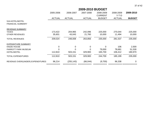|                                   | 2005-2006     | 2006-2007     | 2007-2008     | 2008-2009<br><b>CURRENT</b> | 2008-2009<br>$Y-T-D$ | 2009-2010     |
|-----------------------------------|---------------|---------------|---------------|-----------------------------|----------------------|---------------|
|                                   | <b>ACTUAL</b> | <b>ACTUAL</b> | <b>ACTUAL</b> | <b>BUDGET</b>               | <b>ACTUAL</b>        | <b>BUDGET</b> |
| 516-HOTEL/MOTEL                   |               |               |               |                             |                      |               |
| <b>FINANCIAL SUMMARY</b>          |               |               |               |                             |                      |               |
| <b>REVENUE SUMMARY</b>            |               |               |               |                             |                      |               |
| TAXES                             | 173,422       | 204,965       | 242,096       | 225,000                     | 270,044              | 225,000       |
| <b>OTHER REVENUES</b>             | 35,601        | 43,043        | 21,760        | 10,000                      | 11,494               | 10,000        |
| <b>TOTAL REVENUES</b>             | 209,024       | 248,008       | 263,856       | 235,000                     | 281,537              | 235,000       |
| <b>EXPENDITURE SUMMARY</b>        |               |               |               |                             |                      |               |
| KINZIE HOUSE                      | 0             | 0             | 0             | 0                           | 106                  | 2,500         |
| PARROTT PARK MUSEUM               |               |               |               | 79,000                      | 78,681               | 51,530        |
| <b>HOTEL/MOTEL</b>                | 112,810       | 503,151       | 329,900       | 165,700                     | 106,412              | 180,970       |
| <b>TOTAL EXPENDITURES</b>         | 112,810       | 503,151       | 329,900       | 244,700                     | 185,199              | 235,000       |
| REVENUE OVER/(UNDER) EXPENDITURES | 96,214        | (255, 143)    | (66, 044)     | (9,700)                     | 96,338               | $\Omega$      |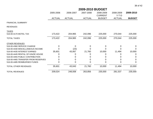|                                    | 2005-2006     | 2006-2007     | 2007-2008     | 2008-2009<br><b>CURRENT</b> | 2008-2009<br>$Y-T-D$ | 2009-2010     |
|------------------------------------|---------------|---------------|---------------|-----------------------------|----------------------|---------------|
|                                    | <b>ACTUAL</b> | <b>ACTUAL</b> | <b>ACTUAL</b> | <b>BUDGET</b>               | <b>ACTUAL</b>        | <b>BUDGET</b> |
| <b>FINANCIAL SUMMARY</b>           |               |               |               |                             |                      |               |
| <b>REVENUES</b>                    |               |               |               |                             |                      |               |
| <b>TAXES</b>                       |               |               |               |                             |                      |               |
| 516-00-4170 MOTEL TAX              | 173,422       | 204,965       | 242,096       | 225,000                     | 270,044              | 225,000       |
| <b>TOTAL TAXES</b>                 | 173,422       | 204,965       | 242,096       | 225,000                     | 270,044              | 225,000       |
| <b>OTHER REVENUES</b>              |               |               |               |                             |                      |               |
| 516-00-4360 SERVICE CHARGE         |               | $\Omega$      | 0             | 0                           | 0                    | $\Omega$      |
| 516-00-4430 MISCELLANEOUS INCOME   |               | (23)          |               |                             |                      |               |
| 516-00-4435 INTEREST EARNED        | 35,601        | 43,067        | 21,760        | 10,000                      | 11,494               | 10,000        |
| 516-00-4445 RENTAL OF KINZIE HOUSE |               |               |               |                             |                      | 0             |
| 516-00-4455 PUBLIC CONTRIBUTION    |               |               |               |                             |                      | 0             |
| 516-00-4465 TRANSFER FROM RESERVES |               |               |               |                             |                      | 0             |
| 516-00-4485 REIMBURSED FUNDS       |               |               |               |                             |                      | 0             |
| TOTAL OTHER REVENUES               | 35,601        | 43,043        | 21,760        | 10,000                      | 11,494               | 10,000        |
| <b>TOTAL REVENUES</b>              | 209,024       | 248,008       | 263,856       | 235,000                     | 281,537              | 235,000       |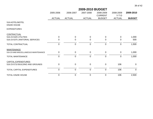|                                       | 2009-2010 BUDGET |               |               |                             |                                       |                |  |  |
|---------------------------------------|------------------|---------------|---------------|-----------------------------|---------------------------------------|----------------|--|--|
|                                       | 2005-2006        | 2006-2007     | 2007-2008     | 2008-2009<br><b>CURRENT</b> | 2008-2009<br>$Y-T-D$<br><b>ACTUAL</b> | 2009-2010      |  |  |
|                                       | <b>ACTUAL</b>    | <b>ACTUAL</b> | <b>ACTUAL</b> | <b>BUDGET</b>               |                                       | <b>BUDGET</b>  |  |  |
| 516-HOTEL/MOTEL<br>KINZIE HOUSE       |                  |               |               |                             |                                       |                |  |  |
| <b>EXPENDITURES</b>                   |                  |               |               |                             |                                       |                |  |  |
| CONTRACTUAL                           |                  |               |               |                             |                                       |                |  |  |
| 516-23-5325 UTILITIES                 | 0                | 0             | 0             | $\mathbf{0}$                | $\overline{0}$                        | 1,000          |  |  |
| 516-23-5375 JANITORIAL SERVICES       | 0                | 0             | 0             | 0                           | 0                                     | 500            |  |  |
| TOTAL CONTRACTUAL                     | $\mathbf 0$      | $\mathbf 0$   | $\mathbf 0$   | $\mathbf 0$                 | $\mathbf 0$                           | 1,500          |  |  |
| <b>MAINTENANCE</b>                    |                  |               |               |                             |                                       |                |  |  |
| 516-23-5460 MISCELLANEOUS MAINTENANCE | 0                | $\mathbf 0$   | $\mathbf 0$   | $\mathbf 0$                 | $\overline{0}$                        | 1,000          |  |  |
| <b>TOTAL MAINTENANCE</b>              | 0                | $\mathbf 0$   | 0             | $\mathbf 0$                 | $\pmb{0}$                             | 1,000          |  |  |
| <b>CAPITAL EXPENDITURES</b>           |                  |               |               |                             |                                       |                |  |  |
| 516-23-5710 BUILDING AND GROUNDS      | $\mathbf 0$      | $\mathbf 0$   | $\mathbf 0$   | $\mathbf 0$                 | 106                                   | $\mathbf 0$    |  |  |
| <b>TOTAL CAPITAL EXPENDITURES</b>     | $\mathbf 0$      | $\mathbf 0$   | $\mathbf 0$   | $\mathbf 0$                 | 106                                   | $\overline{0}$ |  |  |
| <b>TOTAL KINZIE HOUSE</b>             | 0                | $\mathbf 0$   | 0             | $\mathbf 0$                 | 106                                   | 2,500          |  |  |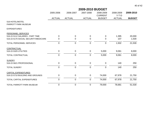## 2005-2006 2006-2007 2007-2008 2008-2009 2008-2009 **2009-2010**CURRENT Y-T-DACTUAL ACTUAL ACTUAL BUDGET ACTUAL **BUDGET2009-2010 BUDGET**516-HOTEL/MOTELPARROTT PARK MUSEUMEXPENDITURESPERSONNEL SERVICES516-22-5112 SALARIES - PART TIME 0 0 0 0 1,395 20,000 516-22-5170 SOCIAL SECURITY/MEDICARE 0 0 0 0 107 1,530 TOTAL PERSONNEL SERVICES 0 0 0 0 1,502 21,530 CONTRACTUAL516-22-5325 UTILITIESS 0 0 5,000 9,061 8,000 \_ TOTAL CONTRACTUAL 0 0 0 5,000 9,061 8,000 516-22-5621 PROFESSIONALL 0 0 0 0 140 250 \_ TOTAL SUNDRY 0 0 0 0 140 250 CAPITAL EXPENDITURES 516-22-5710 BUILDING AND GROUNDS 0 0 0 74,000 67,978 21,750 \_ TOTAL CAPITAL EXPENDITURES0 0 0 74,000 67,978 21,750

\_\_\_\_\_\_\_\_\_\_\_\_\_

\_\_\_\_\_\_\_\_\_\_\_\_

\_\_\_\_\_\_\_\_\_\_\_\_\_

\_\_\_\_\_\_\_\_\_\_\_\_\_

\_\_\_\_\_\_\_\_\_\_\_\_\_\_

TOTAL PARROTT PARK MUSEUM0 0 0 79,000 78,681 51,530

**SUNDRY**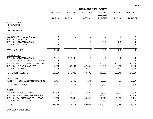|                                        | 2009-2010 BUDGET |               |               |                             |                      |               |  |  |  |
|----------------------------------------|------------------|---------------|---------------|-----------------------------|----------------------|---------------|--|--|--|
|                                        | 2005-2006        | 2006-2007     | 2007-2008     | 2008-2009<br><b>CURRENT</b> | 2008-2009<br>$Y-T-D$ | 2009-2010     |  |  |  |
|                                        | <b>ACTUAL</b>    | <b>ACTUAL</b> | <b>ACTUAL</b> | <b>BUDGET</b>               | <b>ACTUAL</b>        | <b>BUDGET</b> |  |  |  |
| 516-HOTEL/MOTEL<br>HOTEL/MOTEL         |                  |               |               |                             |                      |               |  |  |  |
| <b>EXPENDITURES</b>                    |                  |               |               |                             |                      |               |  |  |  |
| <b>SUPPLIES</b>                        |                  |               |               |                             |                      |               |  |  |  |
| 516-21-5210 OFFICE SUPPLIES            | 0                | 0             | 0             | 0                           | 0                    | $\mathbf 0$   |  |  |  |
| 516-21-5215 POSTAGE                    | 0                | 0             | 0             | $\Omega$                    | 0                    | $\mathbf 0$   |  |  |  |
| 516-21-5290 MISCELLANEOUS              |                  | 0             | 0             | 200                         | 193                  | $\mathbf 0$   |  |  |  |
| 516-21-5291 BILLBOARDS                 | 6,275            | 0             | 0             | $\mathbf 0$                 | 0                    | $\mathbf 0$   |  |  |  |
| <b>TOTAL SUPPLIES</b>                  | 6,278            | $\pmb{0}$     | $\mathbf 0$   | 200                         | 193                  | $\mathbf 0$   |  |  |  |
| CONTRACTUAL                            |                  |               |               |                             |                      |               |  |  |  |
| 516-21-5305 MISCELLANEOUS              | (1,047)          | 212,442       | $\Omega$      | 0                           | 0                    | $\Omega$      |  |  |  |
| 516-21-5315 INSURANCE & BONDS CASUALTY | 0                | 0             | 0             | 0                           | 0                    | $\Omega$      |  |  |  |
| 516-21-5320 PUBLICATIONS & ADVERTISING | 0                | 0             | 0             | 16,000                      | 15,000               | 17,000        |  |  |  |
| 516-21-5321 SIGNS & DISPLAYS           | 27,505           | 32,944        | 37,056        | 32,000                      | 23,518               | 32,000        |  |  |  |
| 516-21-5325 UTILITIES                  | 228              | 1,552         | 2,251         | 0                           | 131                  | 5,000         |  |  |  |
| <b>TOTAL CONTRACTUAL</b>               | 26,686           | 246,938       | 39,306        | 48,000                      | 38,648               | 54,000        |  |  |  |
| <b>MAINTENANCE</b>                     |                  |               |               |                             |                      |               |  |  |  |
| 516-21-5460 MISCELLANEOUS MAINTENANCE  | 6,467            | 1,406         | 174           | 2,500                       | 63                   | 2,500         |  |  |  |
| TOTAL MAINTENANCE                      | 6,467            | 1,406         | 174           | 2,500                       | 63                   | 2,500         |  |  |  |
| <b>SUNDRY</b>                          |                  |               |               |                             |                      |               |  |  |  |
| 516-21-5621 PROFESSIONAL               | 11,550           | 9,718         | 11,600        | 20,000                      | 5,000                | 20,000        |  |  |  |
| 516-21-5635 TRANSFER TO RESERVES       | 0                | 0             | $\Omega$      | 31,885                      | 0                    | 21,366        |  |  |  |
| 516-21-5677 CHAMBER OF COMMERCE        | 25,400           | 28,500        | 54,445        | 61,615                      | 61,615               | 83,104        |  |  |  |
| 516-21-5678 HISTORICAL SOCIETY         | 0                | 0             | $\Omega$      | 500                         | 420                  | $\mathbf{0}$  |  |  |  |
| <b>TOTAL SUNDRY</b>                    | 36,950           | 38,218        | 66,045        | 114,000                     | 67,035               | 124,470       |  |  |  |

CAPITAL EXPENDITURES